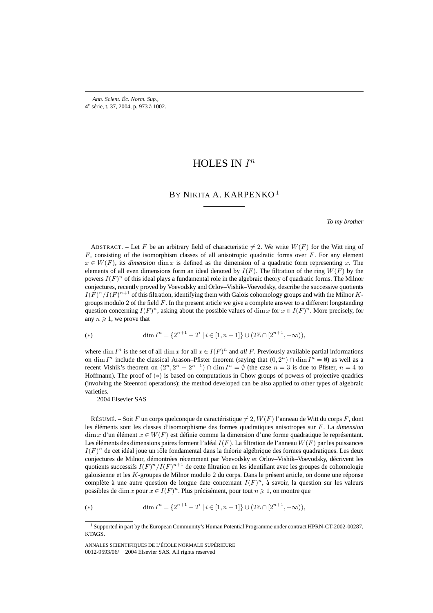*Ann. Scient. Éc. Norm. Sup.,* 4e série, t. 37, 2004, p. 973 à 1002.

# HOLES IN  $I^n$

# BY NIKITA A. KARPENKO<sup>1</sup>

*To my brother*

ABSTRACT. – Let F be an arbitrary field of characteristic  $\neq 2$ . We write  $W(F)$  for the Witt ring of  $F$ , consisting of the isomorphism classes of all anisotropic quadratic forms over  $F$ . For any element  $x \in W(F)$ , its *dimension* dim x is defined as the dimension of a quadratic form representing x. The elements of all even dimensions form an ideal denoted by  $I(F)$ . The filtration of the ring  $W(F)$  by the powers  $I(F)^n$  of this ideal plays a fundamental role in the algebraic theory of quadratic forms. The Milnor conjectures, recently proved by Voevodsky and Orlov–Vishik–Voevodsky, describe the successive quotients  $I(F)^n/I(F)^{n+1}$  of this filtration, identifying them with Galois cohomology groups and with the Milnor Kgroups modulo 2 of the field  $F$ . In the present article we give a complete answer to a different longstanding question concerning  $I(F)^n$ , asking about the possible values of dim x for  $x \in I(F)^n$ . More precisely, for any  $n \geq 1$ , we prove that

(\*) 
$$
\dim I^{n} = \{2^{n+1} - 2^{i} \mid i \in [1, n+1]\} \cup (2\mathbb{Z} \cap [2^{n+1}, +\infty)),
$$

where dim  $I^n$  is the set of all dim x for all  $x \in I(F)^n$  and all F. Previously available partial informations on dim  $I^n$  include the classical Arason–Pfister theorem (saying that  $(0, 2^n) \cap \dim I^n = \emptyset$ ) as well as a recent Vishik's theorem on  $(2^n, 2^n + 2^{n-1}) \cap \dim I^n = \emptyset$  (the case  $n = 3$  is due to Pfister,  $n = 4$  to Hoffmann). The proof of (\*) is based on computations in Chow groups of powers of projective quadrics (involving the Steenrod operations); the method developed can be also applied to other types of algebraic varieties.

2004 Elsevier SAS

RÉSUMÉ. – Soit F un corps quelconque de caractéristique  $\neq 2$ ,  $W(F)$  l'anneau de Witt du corps F, dont les éléments sont les classes d'isomorphisme des formes quadratiques anisotropes sur F. La *dimension* dim x d'un élément  $x \in W(F)$  est définie comme la dimension d'une forme quadratique le représentant. Les éléments des dimensions paires forment l'idéal  $I(F)$ . La filtration de l'anneau  $W(F)$  par les puissances  $I(F)^n$  de cet idéal joue un rôle fondamental dans la théorie algébrique des formes quadratiques. Les deux conjectures de Milnor, démontrées récemment par Voevodsky et Orlov–Vishik–Voevodsky, décrivent les quotients successifs  $I(F)^n/I(F)^{n+1}$  de cette filtration en les identifiant avec les groupes de cohomologie galoisienne et les K-groupes de Milnor modulo 2 du corps. Dans le présent article, on donne une réponse complète à une autre question de longue date concernant  $I(F)^n$ , à savoir, la question sur les valeurs possibles de dim x pour  $x \in I(F)^n$ . Plus précisément, pour tout  $n \geq 1$ , on montre que

(\*) 
$$
\dim I^{n} = \{2^{n+1} - 2^{i} \mid i \in [1, n+1]\} \cup (2\mathbb{Z} \cap [2^{n+1}, +\infty)),
$$

<sup>1</sup> Supported in part by the European Community's Human Potential Programme under contract HPRN-CT-2002-00287, KTAGS.

ANNALES SCIENTIFIQUES DE L'ÉCOLE NORMALE SUPÉRIEURE 0012-9593/06/© 2004 Elsevier SAS. All rights reserved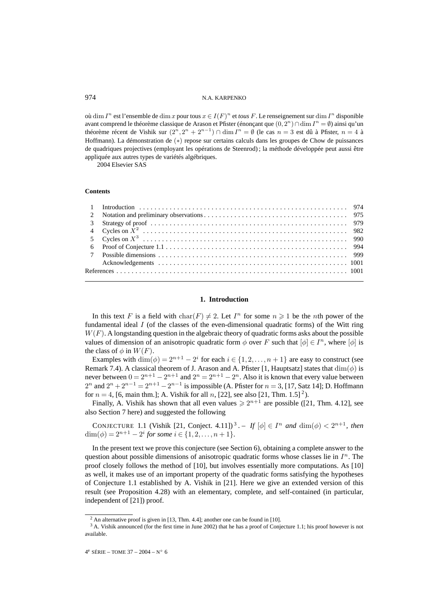où dim  $I^n$  est l'ensemble de dim x pour tous  $x \in I(F)^n$  et *tous* F. Le renseignement sur dim  $I^n$  disponible avant comprend le théorème classique de Arason et Pfister (énonçant que  $(0, 2^n) \cap \dim I^n = \emptyset$ ) ainsi qu'un théorème récent de Vishik sur  $(2^n, 2^n + 2^{n-1})$  ∩ dim  $I^n = \emptyset$  (le cas  $n = 3$  est dû à Pfister,  $n = 4$  à Hoffmann). La démonstration de (∗) repose sur certains calculs dans les groupes de Chow de puissances de quadriques projectives (employant les opérations de Steenrod) ; la méthode développée peut aussi être appliquée aux autres types de variétés algébriques.

2004 Elsevier SAS

#### **Contents**

# **1. Introduction**

In this text F is a field with char(F)  $\neq 2$ . Let  $I<sup>n</sup>$  for some  $n \geq 1$  be the *n*th power of the fundamental ideal I (of the classes of the even-dimensional quadratic forms) of the Witt ring  $W(F)$ . A longstanding question in the algebraic theory of quadratic forms asks about the possible values of dimension of an anisotropic quadratic form  $\phi$  over F such that  $[\phi] \in I^n$ , where  $[\phi]$  is the class of  $\phi$  in  $W(F)$ .

Examples with  $\dim(\phi)=2^{n+1}-2^i$  for each  $i \in \{1,2,\ldots,n+1\}$  are easy to construct (see Remark 7.4). A classical theorem of J. Arason and A. Pfister [1, Hauptsatz] states that  $\dim(\phi)$  is never between  $0=2^{n+1}-2^{n+1}$  and  $2^n=2^{n+1}-2^n$ . Also it is known that every value between  $2^{n}$  and  $2^{n} + 2^{n-1} = 2^{n+1} - 2^{n-1}$  is impossible (A. Pfister for  $n = 3$ , [17, Satz 14]; D. Hoffmann for  $n = 4$ , [6, main thm.]; A. Vishik for all n, [22], see also [21, Thm. 1.5]<sup>2</sup>).

Finally, A. Vishik has shown that all even values  $\ge 2^{n+1}$  are possible ([21, Thm. 4.12], see also Section 7 here) and suggested the following

CONJECTURE 1.1 (Vishik [21, Conject. 4.11])<sup>3</sup>. – *If*  $[\phi] \in I^n$  *and*  $\dim(\phi) < 2^{n+1}$ *, then*  $\dim(\phi) = 2^{n+1} - 2^i$  *for some*  $i \in \{1, 2, ..., n+1\}.$ 

In the present text we prove this conjecture (see Section 6), obtaining a complete answer to the question about possible dimensions of anisotropic quadratic forms whose classes lie in  $I<sup>n</sup>$ . The proof closely follows the method of [10], but involves essentially more computations. As [10] as well, it makes use of an important property of the quadratic forms satisfying the hypotheses of Conjecture 1.1 established by A. Vishik in [21]. Here we give an extended version of this result (see Proposition 4.28) with an elementary, complete, and self-contained (in particular, independent of [21]) proof.

 $^{2}$  An alternative proof is given in [13, Thm. 4.4]; another one can be found in [10].

<sup>&</sup>lt;sup>3</sup> A. Vishik announced (for the first time in June 2002) that he has a proof of Conjecture 1.1; his proof however is not available.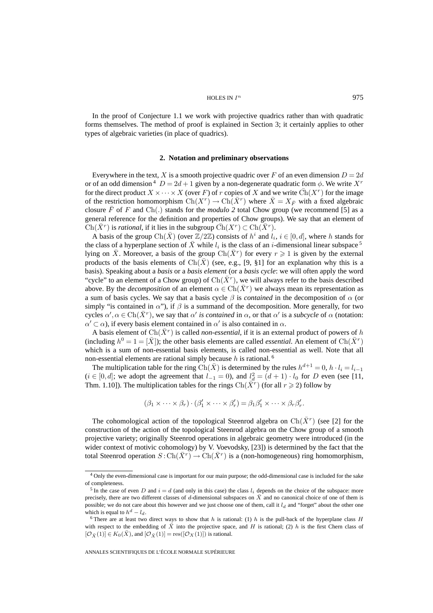In the proof of Conjecture 1.1 we work with projective quadrics rather than with quadratic forms themselves. The method of proof is explained in Section 3; it certainly applies to other types of algebraic varieties (in place of quadrics).

### **2. Notation and preliminary observations**

Everywhere in the text, X is a smooth projective quadric over F of an even dimension  $D = 2d$ or of an odd dimension  $4\,D = 2d + 1$  given by a non-degenerate quadratic form  $\phi$ . We write  $X^r$ for the direct product  $X \times \cdots \times X$  (over F) of r copies of X and we write  $\overline{\text{Ch}}(X^r)$  for the image of the restriction homomorphism  $Ch(X^r) \to Ch(\bar{X}^r)$  where  $\bar{X} = X_{\bar{F}}$  with a fixed algebraic closure  $\bar{F}$  of F and Ch(.) stands for the *modulo* 2 total Chow group (we recommend [5] as a general reference for the definition and properties of Chow groups). We say that an element of  $\text{Ch}(\bar{X}^r)$  is *rational*, if it lies in the subgroup  $\bar{\text{Ch}}(X^r) \subset \text{Ch}(\bar{X}^r)$ .

A basis of the group  $Ch(\bar{X})$  (over  $\mathbb{Z}/2\mathbb{Z}$ ) consists of  $h^i$  and  $l_i$ ,  $i \in [0,d]$ , where h stands for the class of a hyperplane section of X while  $l_i$  is the class of an i-dimensional linear subspace  $5$ lying on  $\bar{X}$ . Moreover, a basis of the group Ch( $\bar{X}^r$ ) for every  $r \geq 1$  is given by the external products of the basis elements of  $Ch(X)$  (see, e.g., [9, §1] for an explanation why this is a basis). Speaking about a *basis* or a *basis element* (or a *basis cycle*: we will often apply the word "cycle" to an element of a Chow group) of  $Ch(X<sup>r</sup>)$ , we will always refer to the basis described above. By the *decomposition* of an element  $\alpha \in \text{Ch}(\bar{X}^r)$  we always mean its representation as a sum of basis cycles. We say that a basis cycle  $\beta$  is *contained* in the decomposition of  $\alpha$  (or simply "is contained in  $\alpha$ "), if  $\beta$  is a summand of the decomposition. More generally, for two cycles  $\alpha', \alpha \in \text{Ch}(\bar{X}^r)$ , we say that  $\alpha'$  *is contained* in  $\alpha$ , or that  $\alpha'$  is a *subcycle* of  $\alpha$  (notation:  $\alpha' \subset \alpha$ ), if every basis element contained in  $\alpha'$  is also contained in  $\alpha$ .

A basis element of  $\text{Ch}(\bar{X}^r)$  is called *non-essential*, if it is an external product of powers of h (including  $h^0 = 1 = [\bar{X}]$ ); the other basis elements are called *essential*. An element of Ch( $\bar{X}^r$ ) which is a sum of non-essential basis elements, is called non-essential as well. Note that all non-essential elements are rational simply because  $h$  is rational.  $\delta$ 

The multiplication table for the ring Ch( $\overline{X}$ ) is determined by the rules  $h^{d+1} = 0$ ,  $h \cdot l_i = l_{i-1}$  $(i \in [0, d]$ ; we adopt the agreement that  $l_{-1} = 0$ ), and  $l_d^2 = (d + 1) \cdot l_0$  for D even (see [11, Thm. 1.10]). The multiplication tables for the rings  $Ch(\bar{X}^r)$  (for all  $r \geq 2$ ) follow by

$$
(\beta_1 \times \cdots \times \beta_r) \cdot (\beta'_1 \times \cdots \times \beta'_r) = \beta_1 \beta'_1 \times \cdots \times \beta_r \beta'_r.
$$

The cohomological action of the topological Steenrod algebra on  $\text{Ch}(\bar{X}^r)$  (see [2] for the construction of the action of the topological Steenrod algebra on the Chow group of a smooth projective variety; originally Steenrod operations in algebraic geometry were introduced (in the wider context of motivic cohomology) by V. Voevodsky, [23]) is determined by the fact that the total Steenrod operation  $S: Ch(\overline{X}^r) \to Ch(\overline{X}^r)$  is a (non-homogeneous) ring homomorphism,

<sup>4</sup> Only the even-dimensional case is important for our main purpose; the odd-dimensional case is included for the sake of completeness.

<sup>&</sup>lt;sup>5</sup> In the case of even D and  $i = d$  (and only in this case) the class  $l_i$  depends on the choice of the subspace: more precisely, there are two different classes of d-dimensional subspaces on  $\bar{X}$  and no canonical choice of one of them is possible; we do not care about this however and we just choose one of them, call it  $l_d$  and "forget" about the other one which is equal to  $h^d - l_d$ .

<sup>&</sup>lt;sup>6</sup> There are at least two direct ways to show that h is rational: (1) h is the pull-back of the hyperplane class H with respect to the embedding of  $\bar{X}$  into the projective space, and H is rational; (2) h is the first Chern class of  $[\mathcal{O}_{\bar{X}}(1)] \in K_0(\bar{X})$ , and  $[\mathcal{O}_{\bar{X}}(1)] = \text{res}([\mathcal{O}_X(1)])$  is rational.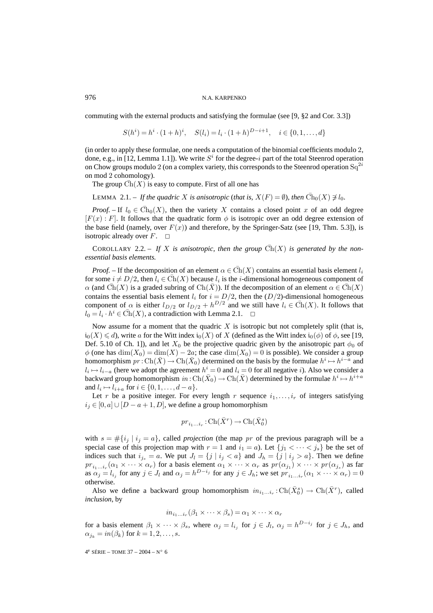commuting with the external products and satisfying the formulae (see [9, §2 and Cor. 3.3])

 $S(h^i) = h^i \cdot (1+h)^i$ ,  $S(l_i) = l_i \cdot (1+h)^{D-i+1}$ ,  $i \in \{0,1,\ldots,d\}$ 

(in order to apply these formulae, one needs a computation of the binomial coefficients modulo 2, done, e.g., in [12, Lemma 1.1]). We write  $S<sup>i</sup>$  for the degree-i part of the total Steenrod operation on Chow groups modulo 2 (on a complex variety, this corresponds to the Steenrod operation  $Sq^{2i}$ on mod 2 cohomology).

The group  $\overline{Ch}(X)$  is easy to compute. First of all one has

LEMMA 2.1. – If the quadric X is anisotropic (that is,  $X(F) = \emptyset$ ), then  $\overline{Ch}_0(X) \not\supseteq l_0$ .

*Proof.* – If  $l_0 \text{ } \in \text{Ch}_0(X)$ , then the variety X contains a closed point x of an odd degree  $[F(x):F]$ . It follows that the quadratic form  $\phi$  is isotropic over an odd degree extension of the base field (namely, over  $F(x)$ ) and therefore, by the Springer-Satz (see [19, Thm. 5.3]), is isotropic already over  $F$ .  $\square$ 

COROLLARY 2.2. – If X is anisotropic, then the group  $\overline{Ch}(X)$  is generated by the non*essential basis elements.*

*Proof.* – If the decomposition of an element  $\alpha \in \overline{Ch}(X)$  contains an essential basis element  $l_i$ for some  $i \neq D/2$ , then  $l_i \in \overline{Ch}(X)$  because  $l_i$  is the *i*-dimensional homogeneous component of  $\alpha$  (and Ch(X) is a graded subring of Ch(X)). If the decomposition of an element  $\alpha \in Ch(X)$ contains the essential basis element  $l_i$  for  $i = D/2$ , then the  $(D/2)$ -dimensional homogeneous component of  $\alpha$  is either  $l_{D/2}$  or  $l_{D/2} + h^{D/2}$  and we still have  $l_i \in \overline{Ch}(X)$ . It follows that  $l_0 = l_i \cdot h^i \in \overline{Ch}(X)$ , a contradiction with Lemma 2.1.  $\Box$ 

Now assume for a moment that the quadric  $X$  is isotropic but not completely split (that is,  $\mathfrak{i}_0(X) \leqslant d$ ), write a for the Witt index  $\mathfrak{i}_0(X)$  of X (defined as the Witt index  $\mathfrak{i}_0(\phi)$  of  $\phi$ , see [19, Def. 5.10 of Ch. 1]), and let  $X_0$  be the projective quadric given by the anisotropic part  $\phi_0$  of  $\phi$  (one has  $\dim(X_0) = \dim(X) - 2a$ ; the case  $\dim(X_0) = 0$  is possible). We consider a group homomorphism  $pr : Ch(\bar{X}) \to Ch(\bar{X}_0)$  determined on the basis by the formulae  $h^i \mapsto h^{i-a}$  and  $l_i \mapsto l_{i-a}$  (here we adopt the agreement  $h^i = 0$  and  $l_i = 0$  for all negative i). Also we consider a backward group homomorphism in : Ch( $\bar{X}_0$ )  $\to$  Ch( $\bar{X}$ ) determined by the formulae  $h^i \mapsto h^{i+a}$ and  $l_i \mapsto l_{i+a}$  for  $i \in \{0,1,\ldots,d-a\}$ .

Let r be a positive integer. For every length r sequence  $i_1, \ldots, i_r$  of integers satisfying  $i_j \in [0, a] \cup [D - a + 1, D]$ , we define a group homomorphism

$$
pr_{i_1...i_r}:\operatorname{Ch}({\bar X}^r)\to\operatorname{Ch}({\bar X}^s_0)
$$

with  $s = \#\{i_j | i_j = a\}$ , called *projection* (the map pr of the previous paragraph will be a special case of this projection map with  $r = 1$  and  $i_1 = a$ ). Let  $\{j_1 < \cdots < j_s\}$  be the set of indices such that  $i_{j_s} = a$ . We put  $J_l = \{j | i_j < a\}$  and  $J_h = \{j | i_j > a\}$ . Then we define  $pr_{i_1...i_r}(\alpha_1 \times \cdots \times \alpha_r)$  for a basis element  $\alpha_1 \times \cdots \times \alpha_r$  as  $pr(\alpha_{j_1}) \times \cdots \times pr(\alpha_{j_s})$  as far as  $\alpha_j = l_{i_j}$  for any  $j \in J_l$  and  $\alpha_j = h^{D-i_j}$  for any  $j \in J_h$ ; we set  $pr_{i_1...i_r}(\alpha_1 \times \cdots \times \alpha_r) = 0$ otherwise.

Also we define a backward group homomorphism  $in_{i_1...i_r} : \text{Ch}(\bar{X}_0^s) \to \text{Ch}(\bar{X}^r)$ , called *inclusion*, by

$$
in_{i_1...i_r}(\beta_1 \times \cdots \times \beta_s) = \alpha_1 \times \cdots \times \alpha_r
$$

for a basis element  $\beta_1 \times \cdots \times \beta_s$ , where  $\alpha_j = l_{i_j}$  for  $j \in J_l$ ,  $\alpha_j = h^{D-i_j}$  for  $j \in J_h$ , and  $\alpha_{j_k} = in(\beta_k)$  for  $k = 1, 2, \ldots, s$ .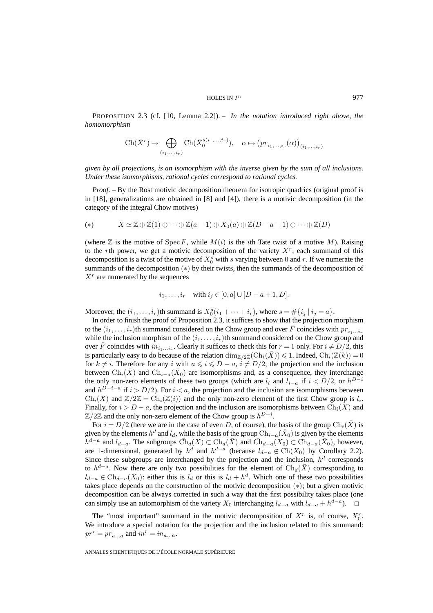PROPOSITION 2.3 (cf. [10, Lemma 2.2]). – *In the notation introduced right above, the homomorphism*

$$
\operatorname{Ch}(\bar{X}^r) \to \bigoplus_{(i_1,\dots,i_r)} \operatorname{Ch}(\bar{X}_0^{s(i_1,\dots,i_r)}), \quad \alpha \mapsto (pr_{i_1,\dots,i_r}(\alpha))_{(i_1,\dots,i_r)}
$$

*given by all projections, is an isomorphism with the inverse given by the sum of all inclusions. Under these isomorphisms, rational cycles correspond to rational cycles.*

*Proof.* – By the Rost motivic decomposition theorem for isotropic quadrics (original proof is in [18], generalizations are obtained in [8] and [4]), there is a motivic decomposition (in the category of the integral Chow motives)

(\*) 
$$
X \simeq \mathbb{Z} \oplus \mathbb{Z}(1) \oplus \cdots \oplus \mathbb{Z}(a-1) \oplus X_0(a) \oplus \mathbb{Z}(D-a+1) \oplus \cdots \oplus \mathbb{Z}(D)
$$

(where  $\mathbb Z$  is the motive of  $Spec F$ , while  $M(i)$  is the *i*th Tate twist of a motive M). Raising to the rth power, we get a motivic decomposition of the variety  $X<sup>r</sup>$ ; each summand of this decomposition is a twist of the motive of  $X_0^s$  with s varying between 0 and r. If we numerate the summands of the decomposition (∗) by their twists, then the summands of the decomposition of  $X<sup>r</sup>$  are numerated by the sequences

$$
i_1, ..., i_r
$$
 with  $i_j \in [0, a] \cup [D - a + 1, D]$ .

Moreover, the  $(i_1, \ldots, i_r)$ th summand is  $X_0^s(i_1 + \cdots + i_r)$ , where  $s = \#\{i_j \mid i_j = a\}$ .

In order to finish the proof of Proposition 2.3, it suffices to show that the projection morphism to the  $(i_1,\ldots,i_r)$ th summand considered on the Chow group and over  $\bar{F}$  coincides with  $pr_{i_1\ldots i_r}$ while the inclusion morphism of the  $(i_1,\ldots,i_r)$ th summand considered on the Chow group and over  $\bar{F}$  coincides with  $in_{i_1...i_r}$ . Clearly it suffices to check this for  $r = 1$  only. For  $i \neq D/2$ , this is particularly easy to do because of the relation  $\dim_{\mathbb{Z}/2\mathbb{Z}}(\mathrm{Ch}_i(\bar{X})) \leq 1$ . Indeed,  $\mathrm{Ch}_i(\mathbb{Z}(k)) = 0$ for  $k \neq i$ . Therefore for any i with  $a \leq i \leq D - a$ ,  $i \neq D/2$ , the projection and the inclusion between  $\text{Ch}_i(X)$  and  $\text{Ch}_{i-a}(X_0)$  are isomorphisms and, as a consequence, they interchange the only non-zero elements of these two groups (which are  $l_i$  and  $l_{i-a}$  if  $i < D/2$ , or  $h^{D-i}$ and  $h^{D-i-a}$  if  $i > D/2$ ). For  $i < a$ , the projection and the inclusion are isomorphisms between  $\text{Ch}_i(X)$  and  $\mathbb{Z}/2\mathbb{Z} = \text{Ch}_i(\mathbb{Z}(i))$  and the only non-zero element of the first Chow group is  $l_i$ . Finally, for  $i > D - a$ , the projection and the inclusion are isomorphisms between  $\text{Ch}_i(X)$  and  $\mathbb{Z}/2\mathbb{Z}$  and the only non-zero element of the Chow group is  $h^{D-i}$ .

For  $i = D/2$  (here we are in the case of even D, of course), the basis of the group  $\text{Ch}_i(\bar{X})$  is given by the elements  $h^d$  and  $l_d$ , while the basis of the group Ch<sub>i−a</sub>( $\bar{X}_0$ ) is given by the elements  $h^{d-a}$  and  $l_{d-a}$ . The subgroups  $\bar{\text{Ch}}_d(X) \subset \text{Ch}_d(\bar{X})$  and  $\bar{\text{Ch}}_{d-a}(X_0) \subset \text{Ch}_{d-a}(\bar{X}_0)$ , however, are 1-dimensional, generated by  $h^d$  and  $h^{d-a}$  (because  $l_{d-a} \notin \overline{\text{Ch}}(X_0)$  by Corollary 2.2). Since these subgroups are interchanged by the projection and the inclusion,  $h^d$  corresponds to  $h^{d-a}$ . Now there are only two possibilities for the element of Ch<sub>d</sub>( $\bar{X}$ ) corresponding to  $l_{d-a} \in \text{Ch}_{d-a}(\bar{X}_0)$ : either this is  $l_d$  or this is  $l_d + h^d$ . Which one of these two possibilities takes place depends on the construction of the motivic decomposition (∗); but a given motivic decomposition can be always corrected in such a way that the first possibility takes place (one can simply use an automorphism of the variety  $X_0$  interchanging  $l_{d-a}$  with  $l_{d-a} + h^{d-a}$ ).

The "most important" summand in the motivic decomposition of  $X<sup>r</sup>$  is, of course,  $X<sub>0</sub><sup>r</sup>$ . We introduce a special notation for the projection and the inclusion related to this summand:  $pr^r = pr_{a...a}$  and  $in^r = in_{a...a}$ .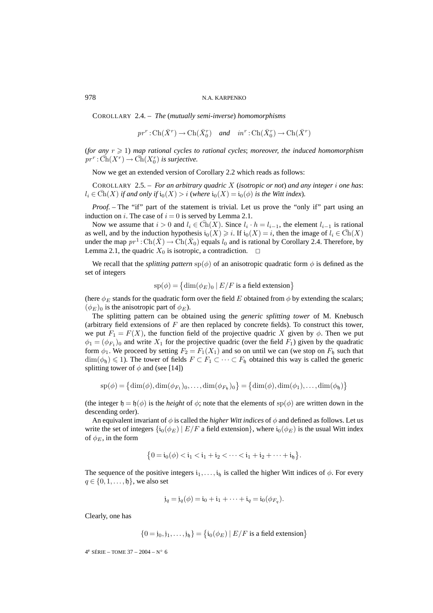COROLLARY 2.4. – *The* (*mutually semi-inverse*) *homomorphisms*

 $pr^r : \text{Ch}(\bar{X}^r) \to \text{Ch}(\bar{X}_0^r)$  and  $in^r : \text{Ch}(\bar{X}_0^r) \to \text{Ch}(\bar{X}^r)$ 

(for any  $r \geqslant 1$ ) map rational cycles to rational cycles; moreover, the induced homomorphism  $pr^r : \bar{Ch}(X^r) \to \bar{Ch}(X_0^r)$  is surjective.

Now we get an extended version of Corollary 2.2 which reads as follows:

COROLLARY 2.5. – *For an arbitrary quadric* X (*isotropic or not*) *and any integer* i *one has*:  $l_i \in \text{Ch}(X)$  *if and only if*  $i_0(X) > i$  (where  $i_0(X) = i_0(\phi)$  *is the Witt index*).

*Proof.* – The "if" part of the statement is trivial. Let us prove the "only if" part using an induction on *i*. The case of  $i = 0$  is served by Lemma 2.1.

Now we assume that  $i > 0$  and  $l_i \in Ch(X)$ . Since  $l_i \cdot h = l_{i-1}$ , the element  $l_{i-1}$  is rational as well, and by the induction hypothesis  $i_0(X) \geq i$ . If  $i_0(X) = i$ , then the image of  $l_i \in Ch(X)$ under the map  $pr^1: Ch(\overline{X}) \to Ch(\overline{X}_0)$  equals  $l_0$  and is rational by Corollary 2.4. Therefore, by Lemma 2.1, the quadric  $X_0$  is isotropic, a contradiction.  $\Box$ 

We recall that the *splitting pattern*  $sp(\phi)$  of an anisotropic quadratic form  $\phi$  is defined as the set of integers

$$
sp(\phi) = \{ \dim(\phi_E)_0 \mid E/F \text{ is a field extension} \}
$$

(here  $\phi_E$  stands for the quadratic form over the field E obtained from  $\phi$  by extending the scalars;  $(\phi_E)_0$  is the anisotropic part of  $\phi_E$ ).

The splitting pattern can be obtained using the *generic splitting tower* of M. Knebusch (arbitrary field extensions of  $F$  are then replaced by concrete fields). To construct this tower, we put  $F_1 = F(X)$ , the function field of the projective quadric X given by  $\phi$ . Then we put  $\phi_1 = (\phi_{F_1})_0$  and write  $X_1$  for the projective quadric (over the field  $F_1$ ) given by the quadratic form  $\phi_1$ . We proceed by setting  $F_2 = F_1(X_1)$  and so on until we can (we stop on  $F_1$  such that  $\dim(\phi_{\mathfrak{h}}) \leq 1$ ). The tower of fields  $F \subset F_1 \subset \cdots \subset F_{\mathfrak{h}}$  obtained this way is called the generic splitting tower of  $\phi$  and (see [14])

$$
sp(\phi) = \left\{ \dim(\phi), \dim(\phi_{F_1})_0, \ldots, \dim(\phi_{F_{\mathfrak{h}}})_0 \right\} = \left\{ \dim(\phi), \dim(\phi_1), \ldots, \dim(\phi_{\mathfrak{h}}) \right\}
$$

(the integer  $\mathfrak{h} = \mathfrak{h}(\phi)$  is the *height* of  $\phi$ ; note that the elements of  $\text{sp}(\phi)$  are written down in the descending order).

An equivalent invariant of  $\phi$  is called the *higher Witt indices* of  $\phi$  and defined as follows. Let us write the set of integers  $\{i_0(\phi_E) \mid E/F$  a field extension}, where  $i_0(\phi_E)$  is the usual Witt index of  $\phi_E$ , in the form

$$
\{0 = i_0(\phi) < i_1 < i_1 + i_2 < \cdots < i_1 + i_2 + \cdots + i_{\mathfrak{h}}\}.
$$

The sequence of the positive integers  $i_1,\ldots,i_h$  is called the higher Witt indices of  $\phi$ . For every  $q \in \{0, 1, \ldots, \mathfrak{h}\}\,$ , we also set

$$
\mathfrak{j}_q = \mathfrak{j}_q(\phi) = \mathfrak{i}_0 + \mathfrak{i}_1 + \cdots + \mathfrak{i}_q = \mathfrak{i}_0(\phi_{F_q}).
$$

Clearly, one has

$$
\{0 = j_0, j_1, \dots, j_b\} = \{i_0(\phi_E) | E/F \text{ is a field extension}\}
$$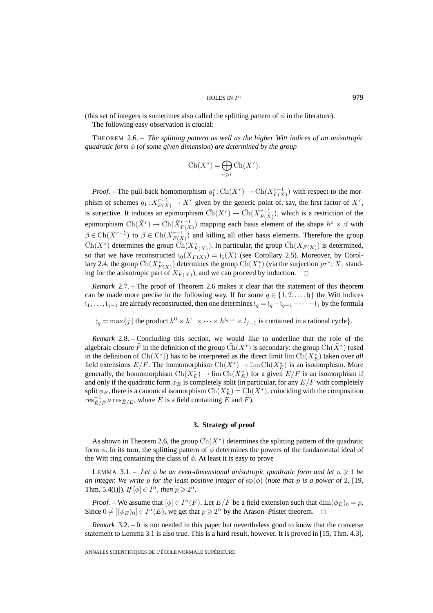(this set of integers is sometimes also called the splitting pattern of  $\phi$  in the literature).

The following easy observation is crucial:

THEOREM 2.6. – *The splitting pattern as well as the higher Witt indices of an anisotropic quadratic form* φ (*of some given dimension*) *are determined by the group*

$$
\overline{\operatorname{Ch}}(X^*) = \bigoplus_{r \geqslant 1} \overline{\operatorname{Ch}}(X^r).
$$

*Proof.* – The pull-back homomorphism  $g_1^* : \text{Ch}(X^r) \to \text{Ch}(X^{r-1}_{F(X)})$  with respect to the morphism of schemes  $g_1: X_{F(X)}^{r-1} \to X^r$  given by the generic point of, say, the first factor of  $X^r$ , is surjective. It induces an epimorphism  $\overline{Ch}(X^r) \to \overline{Ch}(X^{r-1}_{F(X)})$ , which is a restriction of the epimorphism  $Ch(\bar{X}^r) \to Ch(\bar{X}_{F(X)}^{r-1})$  mapping each basis element of the shape  $h^0 \times \beta$  with  $\beta \in \text{Ch}(\bar{X}^{r-1})$  to  $\beta \in \text{Ch}(\bar{X}_{F(X)}^{r-1})$  and killing all other basis elements. Therefore the group  $\bar{\text{Ch}}(X^*)$  determines the group  $\bar{\text{Ch}}(X^*_{F(X)})$ . In particular, the group  $\bar{\text{Ch}}(X_{F(X)})$  is determined, so that we have reconstructed  $i_0(X_{F(X)}) = i_1(X)$  (see Corollary 2.5). Moreover, by Corollary 2.4, the group  $\bar{Ch}(X^*_{F(X)})$  determines the group  $\bar{Ch}(X^*_1)$  (via the surjection  $pr^*$ ;  $X_1$  standing for the anisotropic part of  $X_{F(X)}$ , and we can proceed by induction.  $\Box$ 

*Remark* 2.7. – The proof of Theorem 2.6 makes it clear that the statement of this theorem can be made more precise in the following way. If for some  $q \in \{1, 2, \ldots, \mathfrak{h}\}\$  the Witt indices  $i_1, \ldots, i_{q-1}$  are already reconstructed, then one determines  $i_q = j_q - i_{q-1} - \cdots - i_1$  by the formula

 $j_q = \max\{j \mid \text{the product } h^0 \times h^{j_1} \times \cdots \times h^{j_{q-1}} \times l_{j-1} \text{ is contained in a rational cycle}\}.$ 

*Remark* 2.8. – Concluding this section, we would like to underline that the role of the algebraic closure  $\bar{F}$  in the definition of the group  $\bar{Ch}(X^*)$  is secondary: the group  $\bar{Ch}(\bar{X}^*)$  (used in the definition of  $\bar{Ch}(X^*)$ ) has to be interpreted as the direct limit  $\lim \bar{Ch}(X^*_{E})$  taken over *all* field extensions  $E/F$ . The homomorphism  $Ch(\bar{X}^*) \to \lim Ch(X_E^*)$  is an isomorphism. More generally, the homomorphism  $Ch(X_E^*) \to \lim Ch(X_E^*)$  for a given  $E/F$  is an isomorphism if and only if the quadratic form  $\phi_E$  is completely split (in particular, for any  $E/F$  with completely split  $\phi_E$ , there is a canonical isomorphism  $Ch(X_E^*) = Ch(\bar{X}^*)$ , coinciding with the composition  $\text{res}_{\bar{E}/\bar{F}}^{-1} \circ \text{res}_{\bar{E}/E}$ , where  $\bar{E}$  is a field containing  $\bar{E}$  and  $\bar{F}$ ).

# **3. Strategy of proof**

As shown in Theorem 2.6, the group  $\text{Ch}(X^*)$  determines the splitting pattern of the quadratic form  $\phi$ . In its turn, the splitting pattern of  $\phi$  determines the powers of the fundamental ideal of the Witt ring containing the class of  $\phi$ . At least it is easy to prove

LEMMA 3.1. – Let  $\phi$  be an even-dimensional anisotropic quadratic form and let  $n \geq 1$  be *an integer. We write* p *for the least positive integer of*  $\text{sp}(\phi)$  (*note that* p *is a power of* 2*,* [19*,* Thm. 5.4(i)])*.* If  $[\phi] \in I^n$ , then  $p \geq 2^n$ .

*Proof.* – We assume that  $[\phi] \in I^n(F)$ . Let  $E/F$  be a field extension such that  $\dim(\phi_F)_0 = p$ . Since  $0 \neq [(\phi_E)_0] \in I^n(E)$ , we get that  $p \geq 2^n$  by the Arason–Pfister theorem.

*Remark* 3.2. – It is not needed in this paper but nevertheless good to know that the converse statement to Lemma 3.1 is also true. This is a hard result, however. It is proved in [15, Thm. 4.3].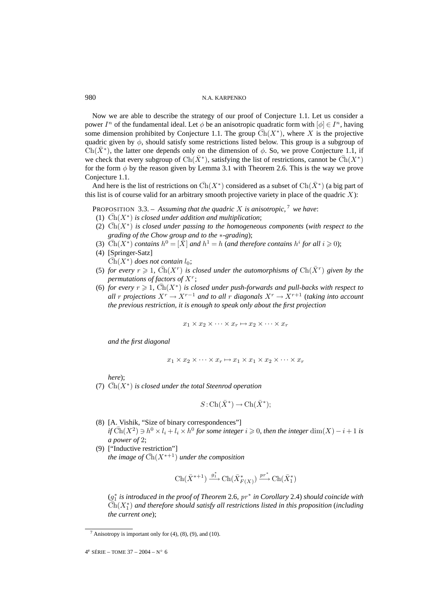Now we are able to describe the strategy of our proof of Conjecture 1.1. Let us consider a power  $I^n$  of the fundamental ideal. Let  $\phi$  be an anisotropic quadratic form with  $[\phi] \in I^n$ , having some dimension prohibited by Conjecture 1.1. The group  $Ch(X^*)$ , where X is the projective quadric given by  $\phi$ , should satisfy some restrictions listed below. This group is a subgroup of  $Ch(X^*)$ , the latter one depends only on the dimension of  $\phi$ . So, we prove Conjecture 1.1, if we check that every subgroup of  $Ch(X^*)$ , satisfying the list of restrictions, cannot be  $Ch(X^*)$ for the form  $\phi$  by the reason given by Lemma 3.1 with Theorem 2.6. This is the way we prove Conjecture 1.1.

And here is the list of restrictions on  $\overline{Ch}(X^*)$  considered as a subset of  $Ch(\overline{X}^*)$  (a big part of this list is of course valid for an arbitrary smooth projective variety in place of the quadric  $X$ ):

PROPOSITION 3.3. – Assuming that the quadric X is anisotropic, <sup>7</sup> we have:

- (1)  $\overline{Ch}(X^*)$  *is closed under addition and multiplication*;
- (2)  $\overline{Ch}(X^*)$  *is closed under passing to the homogeneous components (with respect to the grading of the Chow group and to the* ∗*-grading*);
- (3)  $\bar{Ch}(X^*)$  *contains*  $h^0 = [\bar{X}]$  *and*  $h^1 = h$  *(and therefore contains*  $h^i$  *for all*  $i \ge 0$ *)*;
- (4) [Springer-Satz]  $Ch(X^*)$  *does not contain*  $l_0$ ;
- (5) *for every*  $r \ge 1$ ,  $\overline{Ch}(X^r)$  *is closed under the automorphisms of*  $\overline{Ch}(\overline{X}^r)$  *given by the permutations of factors of* X<sup>r</sup>;
- (6) *for every*  $r \ge 1$ ,  $\overline{Ch}(X^*)$  *is closed under push-forwards and pull-backs with respect to all* r *projections*  $X^r \to X^{r-1}$  *and to all* r *diagonals*  $X^r \to X^{r+1}$  (*taking into account the previous restriction, it is enough to speak only about the first projection*

 $x_1 \times x_2 \times \cdots \times x_r \mapsto x_2 \times \cdots \times x_r$ 

*and the first diagonal*

$$
x_1 \times x_2 \times \cdots \times x_r \mapsto x_1 \times x_1 \times x_2 \times \cdots \times x_r
$$

*here*);

(7)  $\overline{Ch}(X^*)$  *is closed under the total Steenrod operation* 

$$
S: \operatorname{Ch}(\bar{X}^*) \to \operatorname{Ch}(\bar{X}^*);
$$

- (8) [A. Vishik, "Size of binary correspondences"] *if*  $\overline{Ch}(X^2) \ni h^0 \times l_i + l_i \times h^0$  *for some integer*  $i \ge 0$ *, then the integer* dim $(X) - i + 1$  *is a power of* 2;
- (9) ["Inductive restriction"] *the image of*  $\bar{Ch}(X^{*+1})$  *under the composition*

$$
\operatorname{Ch}(\bar{X}^{*+1}) \xrightarrow{g_1^*} \operatorname{Ch}(\bar{X}^*_{F(X)}) \xrightarrow{pr^*} \operatorname{Ch}(\bar{X}_1^*)
$$

(g<sup>∗</sup> <sup>1</sup> *is introduced in the proof of Theorem* 2.6*,* pr <sup>∗</sup> *in Corollary* 2.4) *should coincide with*  $\widetilde{\operatorname{Ch}}(X_1^*)$  and therefore should satisfy all restrictions listed in this proposition (including *the current one*);

<sup>&</sup>lt;sup>7</sup> Anisotropy is important only for  $(4)$ ,  $(8)$ ,  $(9)$ , and  $(10)$ .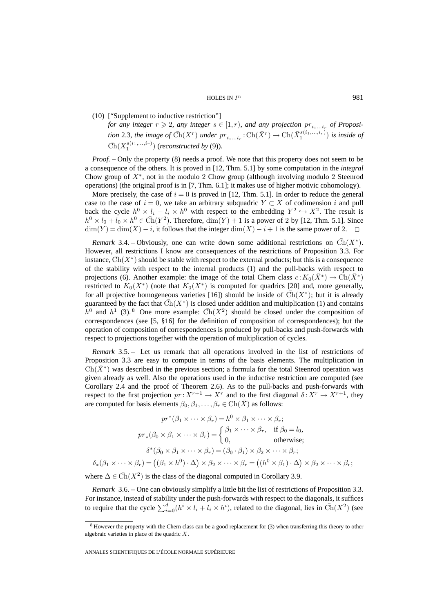(10) ["Supplement to inductive restriction"]

*for any integer*  $r \ge 2$ *, any integer*  $s \in [1, r)$ *, and any projection*  $pr_{i_1...i_r}$  *of Proposition* 2.3*, the image of*  $\bar{Ch}(X^r)$  *under*  $pr_{i_1...i_r} : \text{Ch}(\bar{X}^r) \to \text{Ch}(\bar{X}_1^{s(i_1,...,i_r)})$  *is inside of*  $\overline{\text{Ch}}(X_1^{s(i_1,...,i_r)})$  (*reconstructed by* (9)).

*Proof.* – Only the property (8) needs a proof. We note that this property does not seem to be a consequence of the others. It is proved in [12, Thm. 5.1] by some computation in the *integral* Chow group of  $X^*$ , not in the modulo 2 Chow group (although involving modulo 2 Steenrod operations) (the original proof is in [7, Thm. 6.1]; it makes use of higher motivic cohomology).

More precisely, the case of  $i = 0$  is proved in [12, Thm. 5.1]. In order to reduce the general case to the case of  $i = 0$ , we take an arbitrary subquadric  $Y \subset X$  of codimension i and pull back the cycle  $h^0 \times l_i + l_i \times h^0$  with respect to the embedding  $Y^2 \hookrightarrow X^2$ . The result is  $h^0 \times l_0 + l_0 \times h^0 \in \overline{Ch}(Y^2)$ . Therefore,  $\dim(Y) + 1$  is a power of 2 by [12, Thm. 5.1]. Since  $\dim(Y) = \dim(X) - i$ , it follows that the integer  $\dim(X) - i + 1$  is the same power of 2.

*Remark* 3.4. – Obviously, one can write down some additional restrictions on  $Ch(X^*)$ . However, all restrictions I know are consequences of the restrictions of Proposition 3.3. For instance,  $Ch(X^*)$  should be stable with respect to the external products; but this is a consequence of the stability with respect to the internal products (1) and the pull-backs with respect to projections (6). Another example: the image of the total Chern class  $c: K_0(X^*) \to Ch(X^*)$ restricted to  $K_0(X^*)$  (note that  $K_0(X^*)$  is computed for quadrics [20] and, more generally, for all projective homogeneous varieties [16]) should be inside of  $\overline{Ch}(X^*)$ ; but it is already guaranteed by the fact that  $Ch(X^*)$  is closed under addition and multiplication (1) and contains  $h^0$  and  $h^1$  (3). <sup>8</sup> One more example:  $\operatorname{Ch}(X^2)$  should be closed under the composition of correspondences (see [5, §16] for the definition of composition of correspondences); but the operation of composition of correspondences is produced by pull-backs and push-forwards with respect to projections together with the operation of multiplication of cycles.

*Remark* 3.5. – Let us remark that all operations involved in the list of restrictions of Proposition 3.3 are easy to compute in terms of the basis elements. The multiplication in  $Ch(X^*)$  was described in the previous section; a formula for the total Steenrod operation was given already as well. Also the operations used in the inductive restriction are computed (see Corollary 2.4 and the proof of Theorem 2.6). As to the pull-backs and push-forwards with respect to the first projection  $pr: X^{r+1} \to X^r$  and to the first diagonal  $\delta: X^r \to X^{r+1}$ , they are computed for basis elements  $\beta_0, \beta_1, \dots, \beta_r \in \text{Ch}(\bar{X})$  as follows:

$$
pr^*(\beta_1 \times \cdots \times \beta_r) = h^0 \times \beta_1 \times \cdots \times \beta_r;
$$
  
\n
$$
pr_*(\beta_0 \times \beta_1 \times \cdots \times \beta_r) = \begin{cases} \beta_1 \times \cdots \times \beta_r, & \text{if } \beta_0 = l_0, \\ 0, & \text{otherwise}; \end{cases}
$$
  
\n
$$
\delta^*(\beta_0 \times \beta_1 \times \cdots \times \beta_r) = (\beta_0 \cdot \beta_1) \times \beta_2 \times \cdots \times \beta_r;
$$
  
\n
$$
\delta_*(\beta_1 \times \cdots \times \beta_r) = ((\beta_1 \times h^0) \cdot \Delta) \times \beta_2 \times \cdots \times \beta_r = ((h^0 \times \beta_1) \cdot \Delta) \times \beta_2 \times \cdots \times \beta_r;
$$

where  $\Delta \in \overline{Ch}(X^2)$  is the class of the diagonal computed in Corollary 3.9.

*Remark* 3.6. – One can obviously simplify a little bit the list of restrictions of Proposition 3.3. For instance, instead of stability under the push-forwards with respect to the diagonals, it suffices to require that the cycle  $\sum_{i=0}^{d} (h^i \times l_i + l_i \times h^i)$ , related to the diagonal, lies in  $\bar{Ch}(X^2)$  (see

<sup>&</sup>lt;sup>8</sup> However the property with the Chern class can be a good replacement for (3) when transferring this theory to other algebraic varieties in place of the quadric X.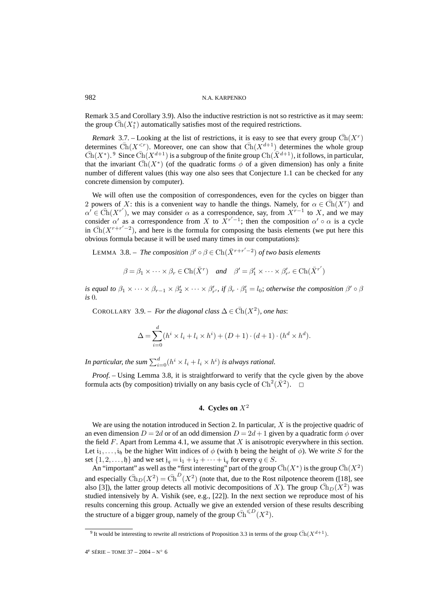Remark 3.5 and Corollary 3.9). Also the inductive restriction is not so restrictive as it may seem: the group  $\bar{\text{Ch}}(X_1^*)$  automatically satisfies most of the required restrictions.

*Remark* 3.7. – Looking at the list of restrictions, it is easy to see that every group  $Ch(X<sup>r</sup>)$ determines  $\overline{\text{Ch}}(X^{\leq r})$ . Moreover, one can show that  $\overline{\text{Ch}}(X^{d+1})$  determines the whole group  $\overline{\text{Ch}}(X^*)$ . <sup>9</sup> Since  $\overline{\text{Ch}}(X^{d+1})$  is a subgroup of the finite group  $\overline{\text{Ch}}(\overline{X}^{d+1})$ , it follows, in particular, that the invariant  $\overline{Ch}(X^*)$  (of the quadratic forms  $\phi$  of a given dimension) has only a finite number of different values (this way one also sees that Conjecture 1.1 can be checked for any concrete dimension by computer).

We will often use the composition of correspondences, even for the cycles on bigger than 2 powers of X: this is a convenient way to handle the things. Namely, for  $\alpha \in \overline{Ch}(X^r)$  and  $\alpha' \in \overline{Ch}(X^{r'})$ , we may consider  $\alpha$  as a correspondence, say, from  $X^{r-1}$  to X, and we may consider  $\alpha'$  as a correspondence from X to  $X^{r'-1}$ ; then the composition  $\alpha' \circ \alpha$  is a cycle in  $\overline{\text{Ch}}(X^{r+r'-2})$ , and here is the formula for composing the basis elements (we put here this obvious formula because it will be used many times in our computations):

LEMMA 3.8. – *The composition*  $\beta' \circ \beta \in \text{Ch}(\bar{X}^{r+r'-2})$  *of two basis elements* 

$$
\beta = \beta_1 \times \cdots \times \beta_r \in \text{Ch}(\bar{X}^r) \quad \text{and} \quad \beta' = \beta'_1 \times \cdots \times \beta'_{r'} \in \text{Ch}(\bar{X}^{r'})
$$

*is equal to*  $\beta_1 \times \cdots \times \beta_{r-1} \times \beta'_2 \times \cdots \times \beta'_{r'}$ , *if*  $\beta_r \cdot \beta'_1 = l_0$ ; *otherwise the composition*  $\beta' \circ \beta$ *is* 0*.*

COROLLARY 3.9. – *For the diagonal class*  $\Delta \in \overline{Ch}(X^2)$ *, one has:* 

$$
\Delta = \sum_{i=0}^{d} (h^i \times l_i + l_i \times h^i) + (D+1) \cdot (d+1) \cdot (h^d \times h^d).
$$

In particular, the sum  $\sum_{i=0}^d (h^i \times l_i + l_i \times h^i)$  is always rational.

*Proof. –* Using Lemma 3.8, it is straightforward to verify that the cycle given by the above formula acts (by composition) trivially on any basis cycle of  $\text{Ch}^2(\bar{X}^2)$ .  $\Box$ 

# **4.** Cycles on  $X^2$

We are using the notation introduced in Section 2. In particular,  $X$  is the projective quadric of an even dimension  $D = 2d$  or of an odd dimension  $D = 2d + 1$  given by a quadratic form  $\phi$  over the field  $F$ . Apart from Lemma 4.1, we assume that  $X$  is anisotropic everywhere in this section. Let  $i_1,...,i_p$  be the higher Witt indices of  $\phi$  (with h being the height of  $\phi$ ). We write S for the set  $\{1, 2, \ldots, \mathfrak{h}\}\$  and we set  $\mathfrak{j}_q = \mathfrak{i}_1 + \mathfrak{i}_2 + \cdots + \mathfrak{i}_q$  for every  $q \in S$ .

An "important" as well as the "first interesting" part of the group  $\overline{Ch}(X^*)$  is the group  $\overline{Ch}(X^2)$ and especially  $\bar{Ch}_D(X^2) = \bar{Ch}^D(X^2)$  (note that, due to the Rost nilpotence theorem ([18], see also [3]), the latter group detects all motivic decompositions of X). The group  $\overline{\text{Ch}}_D(X^2)$  was studied intensively by A. Vishik (see, e.g., [22]). In the next section we reproduce most of his results concerning this group. Actually we give an extended version of these results describing the structure of a bigger group, namely of the group  $\overline{\text{Ch}}^{\leq D}(X^2)$ .

<sup>&</sup>lt;sup>9</sup> It would be interesting to rewrite all restrictions of Proposition 3.3 in terms of the group  $\overline{Ch}(X^{d+1})$ .

 $4^e$  SÉRIE – TOME 37 – 2004 – N° 6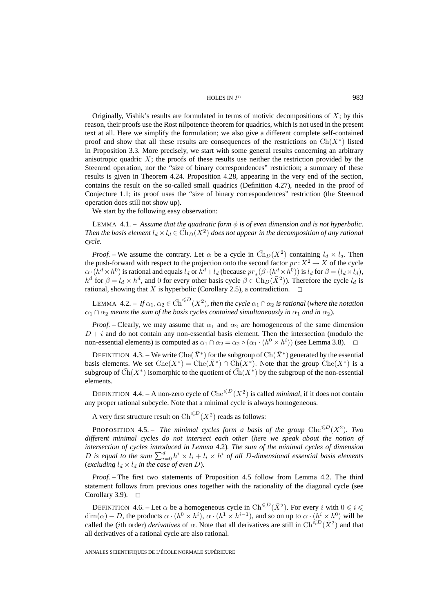HOLES IN  $I^n$  983

Originally, Vishik's results are formulated in terms of motivic decompositions of  $X$ ; by this reason, their proofs use the Rost nilpotence theorem for quadrics, which is not used in the present text at all. Here we simplify the formulation; we also give a different complete self-contained proof and show that all these results are consequences of the restrictions on  $\overline{Ch}(X^*)$  listed in Proposition 3.3. More precisely, we start with some general results concerning an arbitrary anisotropic quadric  $X$ ; the proofs of these results use neither the restriction provided by the Steenrod operation, nor the "size of binary correspondences" restriction; a summary of these results is given in Theorem 4.24. Proposition 4.28, appearing in the very end of the section, contains the result on the so-called small quadrics (Definition 4.27), needed in the proof of Conjecture 1.1; its proof uses the "size of binary correspondences" restriction (the Steenrod operation does still not show up).

We start by the following easy observation:

LEMMA 4.1. – *Assume that the quadratic form*  $\phi$  *is of even dimension and is not hyperbolic. Then the basis element*  $l_d \times l_d \in Ch_D(X^2)$  *does not appear in the decomposition of any rational cycle.*

*Proof.* – We assume the contrary. Let  $\alpha$  be a cycle in  $\overline{Ch}_D(X^2)$  containing  $l_d \times l_d$ . Then the push-forward with respect to the projection onto the second factor  $pr: X^2 \to X$  of the cycle  $\alpha \cdot (h^d \times h^0)$  is rational and equals  $l_d$  or  $h^d + l_d$  (because  $pr_*(\beta \cdot (h^d \times h^0))$  is  $l_d$  for  $\beta = (l_d \times l_d)$ ,  $h^d$  for  $\beta = l_d \times h^d$ , and 0 for every other basis cycle  $\beta \in \text{Ch}_D(\bar{X}^2)$ ). Therefore the cycle  $l_d$  is rational, showing that X is hyperbolic (Corollary 2.5), a contradiction.  $\Box$ 

LEMMA  $4.2. - If  $\alpha_1, \alpha_2 \in \overline{Ch}^{\leq D}(X^2)$ , then the cycle  $\alpha_1 \cap \alpha_2$  is rational (where the notation$  $\alpha_1 \cap \alpha_2$  *means the sum of the basis cycles contained simultaneously in*  $\alpha_1$  *and in*  $\alpha_2$ *).* 

*Proof.* – Clearly, we may assume that  $\alpha_1$  and  $\alpha_2$  are homogeneous of the same dimension  $D + i$  and do not contain any non-essential basis element. Then the intersection (modulo the non-essential elements) is computed as  $\alpha_1 \cap \alpha_2 = \alpha_2 \circ (\alpha_1 \cdot (h^0 \times h^i))$  (see Lemma 3.8).  $\Box$ 

DEFINITION 4.3. – We write Che( $\bar{X}^*$ ) for the subgroup of Ch( $\bar{X}^*$ ) generated by the essential basis elements. We set  $\text{Che}(X^*) = \text{Che}(\bar{X}^*) \cap \bar{\text{Ch}}(X^*)$ . Note that the group  $\text{Che}(X^*)$  is a subgroup of  $Ch(X^*)$  isomorphic to the quotient of  $Ch(X^*)$  by the subgroup of the non-essential elements.

DEFINITION 4.4. – A non-zero cycle of  $\text{Che}^{\leq D}(X^2)$  is called *minimal*, if it does not contain any proper rational subcycle. Note that a minimal cycle is always homogeneous.

A very first structure result on  $\bar{\text{Ch}}^{\leq D}(X^2)$  reads as follows:

**PROPOSITION** 4.5. – The minimal cycles form a basis of the group  $\text{Che}^{\leq D}(X^2)$ . Two *different minimal cycles do not intersect each other* (*here we speak about the notion of intersection of cycles introduced in Lemma* 4.2)*. The sum of the minimal cycles of dimension* D is equal to the sum  $\sum_{i=0}^{d} h^i \times l_i + l_i \times h^i$  of all D-dimensional essential basis elements (*excluding*  $l_d \times l_d$  *in the case of even D*).

*Proof. –* The first two statements of Proposition 4.5 follow from Lemma 4.2. The third statement follows from previous ones together with the rationality of the diagonal cycle (see Corollary 3.9).  $\square$ 

DEFINITION 4.6. – Let  $\alpha$  be a homogeneous cycle in  $\text{Ch}^{\leq D}(\bar{X}^2)$ . For every i with  $0 \leq i \leq$  $\dim(\alpha) - D$ , the products  $\alpha \cdot (h^0 \times h^i)$ ,  $\alpha \cdot (h^1 \times h^{i-1})$ , and so on up to  $\alpha \cdot (h^i \times h^0)$  will be called the (*i*th order) *derivatives* of  $\alpha$ . Note that all derivatives are still in  $\text{Ch}^{\leq D}(\bar{X}^2)$  and that all derivatives of a rational cycle are also rational.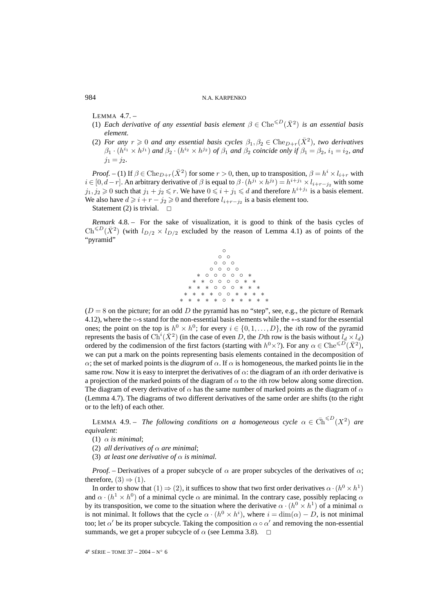LEMMA 4.7. –

- (1) *Each derivative of any essential basis element*  $\beta \in \text{Che}^{\le D}(\bar{X}^2)$  *is an essential basis element.*
- (2) *For any*  $r \ge 0$  *and any essential basis cycles*  $\beta_1, \beta_2 \in \text{Che}_{D+r}(\bar{X}^2)$ *, two derivatives*  $\beta_1 \cdot (h^{i_1} \times h^{j_1})$  *and*  $\beta_2 \cdot (h^{i_2} \times h^{j_2})$  *of*  $\beta_1$  *and*  $\beta_2$  *coincide only if*  $\beta_1 = \beta_2$ *,*  $i_1 = i_2$ *, and*  $j_1 = j_2.$

*Proof.* – (1) If  $\beta \in \text{Che}_{D+r}(\bar{X}^2)$  for some  $r > 0$ , then, up to transposition,  $\beta = h^i \times l_{i+r}$  with  $i \in [0, d-r]$ . An arbitrary derivative of  $\beta$  is equal to  $\beta \cdot (h^{j_1} \times h^{j_2}) = h^{i+j_1} \times l_{i+r-j_2}$  with some  $j_1, j_2 \geq 0$  such that  $j_1 + j_2 \leq r$ . We have  $0 \leq i + j_1 \leq d$  and therefore  $h^{i+j_1}$  is a basis element. We also have  $d \geq i + r - j_2 \geq 0$  and therefore  $l_{i+r-j_2}$  is a basis element too.

Statement (2) is trivial.  $\square$ 

*Remark* 4.8. – For the sake of visualization, it is good to think of the basis cycles of  $\text{Ch}^{\leq D}(\bar{X}^2)$  (with  $l_{D/2} \times l_{D/2}$  excluded by the reason of Lemma 4.1) as of points of the "pyramid"



 $(D = 8$  on the picture; for an odd D the pyramid has no "step", see, e.g., the picture of Remark 4.12), where the ◦-s stand for the non-essential basis elements while the ∗-s stand for the essential ones; the point on the top is  $h^0 \times h^0$ ; for every  $i \in \{0, 1, \ldots, D\}$ , the *i*th row of the pyramid represents the basis of  $\text{Ch}^i(\bar{X}^2)$  (in the case of even D, the Dth row is the basis without  $l_d \times l_d$ ) ordered by the codimension of the first factors (starting with  $h^0 \times ?$ ). For any  $\alpha \in \text{Che}^{\leq D}(\bar{X}^2)$ , we can put a mark on the points representing basis elements contained in the decomposition of α; the set of marked points is the *diagram* of α. If α is homogeneous, the marked points lie in the same row. Now it is easy to interpret the derivatives of  $\alpha$ : the diagram of an *i*th order derivative is a projection of the marked points of the diagram of  $\alpha$  to the *i*th row below along some direction. The diagram of every derivative of  $\alpha$  has the same number of marked points as the diagram of  $\alpha$ (Lemma 4.7). The diagrams of two different derivatives of the same order are shifts (to the right or to the left) of each other.

LEMMA 4.9. – *The following conditions on a homogeneous cycle*  $\alpha \in \overline{Ch}^{\leq D}(X^2)$  are *equivalent*:

- (1)  $\alpha$  *is minimal*;
- (2) *all derivatives of*  $\alpha$  *are minimal*;
- (3) *at least one derivative of*  $\alpha$  *is minimal.*

*Proof.* – Derivatives of a proper subcycle of  $\alpha$  are proper subcycles of the derivatives of  $\alpha$ ; therefore,  $(3) \Rightarrow (1)$ .

In order to show that  $(1) \Rightarrow (2)$ , it suffices to show that two first order derivatives  $\alpha \cdot (h^0 \times h^1)$ and  $\alpha \cdot (h^1 \times h^0)$  of a minimal cycle  $\alpha$  are minimal. In the contrary case, possibly replacing  $\alpha$ by its transposition, we come to the situation where the derivative  $\alpha \cdot (h^0 \times h^1)$  of a minimal  $\alpha$ is not minimal. It follows that the cycle  $\alpha \cdot (h^0 \times h^i)$ , where  $i = \dim(\alpha) - D$ , is not minimal too; let  $\alpha'$  be its proper subcycle. Taking the composition  $\alpha \circ \alpha'$  and removing the non-essential summands, we get a proper subcycle of  $\alpha$  (see Lemma 3.8).  $\Box$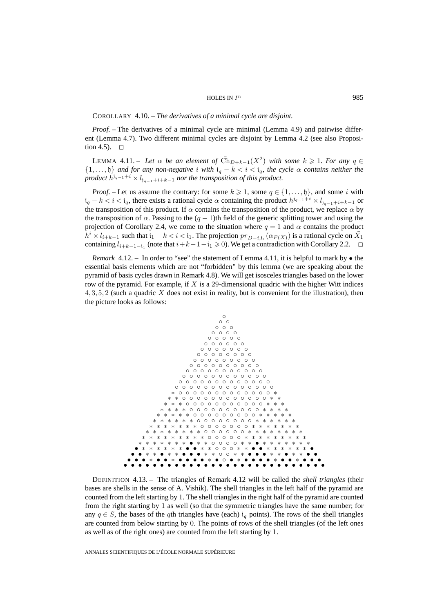#### HOLES IN  $I^n$  985

COROLLARY 4.10. – *The derivatives of a minimal cycle are disjoint.*

*Proof.* – The derivatives of a minimal cycle are minimal (Lemma 4.9) and pairwise different (Lemma 4.7). Two different minimal cycles are disjoint by Lemma 4.2 (see also Proposition 4.5).  $\Box$ 

LEMMA 4.11. – Let  $\alpha$  be an element of  $\overline{Ch}_{D+k-1}(X^2)$  with some  $k \geq 1$ . For any  $q \in$  $\{1,\ldots,\mathfrak{h}\}\$  *and for any non-negative i* with  $i_q - k < i < i_q$ , the cycle  $\alpha$  *contains neither the product*  $h^{j_{q-1}+i} \times l_{j_{q-1}+i+k-1}$  *nor the transposition of this product.* 

*Proof.* – Let us assume the contrary: for some  $k \geq 1$ , some  $q \in \{1, \ldots, \mathfrak{h}\}\)$ , and some i with  $i_q - k < i < i_q$ , there exists a rational cycle  $\alpha$  containing the product  $h^{j_{q-1}+i} \times l_{j_{q-1}+i+k-1}$  or the transposition of this product. If  $\alpha$  contains the transposition of the product, we replace  $\alpha$  by the transposition of  $\alpha$ . Passing to the  $(q - 1)$ th field of the generic splitting tower and using the projection of Corollary 2.4, we come to the situation where  $q = 1$  and  $\alpha$  contains the product  $h^i \times l_{i+k-1}$  such that  $i_1 - k < i < i_1$ . The projection  $pr_{D-i,i_1}(\alpha_{F(X)})$  is a rational cycle on  $X_1$ containing  $l_{i+k-1-i_1}$  (note that  $i+k-1-i_1 \geq 0$ ). We get a contradiction with Corollary 2.2.

*Remark* 4.12. – In order to "see" the statement of Lemma 4.11, it is helpful to mark by • the essential basis elements which are not "forbidden" by this lemma (we are speaking about the pyramid of basis cycles drawn in Remark 4.8). We will get isosceles triangles based on the lower row of the pyramid. For example, if  $X$  is a 29-dimensional quadric with the higher Witt indices  $4, 3, 5, 2$  (such a quadric X does not exist in reality, but is convenient for the illustration), then the picture looks as follows:



DEFINITION 4.13. – The triangles of Remark 4.12 will be called the *shell triangles* (their bases are shells in the sense of A. Vishik). The shell triangles in the left half of the pyramid are counted from the left starting by 1. The shell triangles in the right half of the pyramid are counted from the right starting by 1 as well (so that the symmetric triangles have the same number; for any  $q \in S$ , the bases of the qth triangles have (each) i<sub>q</sub> points). The rows of the shell triangles are counted from below starting by 0. The points of rows of the shell triangles (of the left ones as well as of the right ones) are counted from the left starting by 1.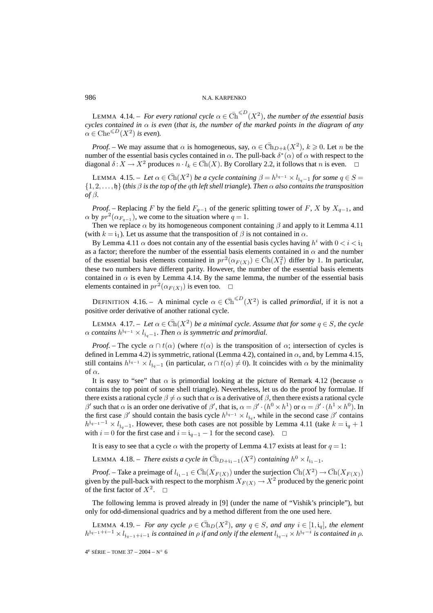LEMMA 4.14. – For every rational cycle  $\alpha \in \overline{\text{Ch}}^{\leq D}(X^2)$ , the number of the essential basis *cycles contained in*  $\alpha$  *is even* (*that is, the number of the marked points in the diagram of any*  $\alpha \in \text{Che}^{\leq D}(X^2)$  *is even*).

*Proof.* – We may assume that  $\alpha$  is homogeneous, say,  $\alpha \in \overline{\text{Ch}}_{D+k}(X^2)$ ,  $k \geq 0$ . Let n be the number of the essential basis cycles contained in  $\alpha$ . The pull-back  $\delta^*(\alpha)$  of  $\alpha$  with respect to the diagonal  $\delta: X \to X^2$  produces  $n \cdot l_k \in \overline{Ch}(X)$ . By Corollary 2.2, it follows that n is even.

LEMMA 4.15. – Let  $\alpha \in \overline{Ch}(X^2)$  *be a cycle containing*  $\beta = h^{j_{q-1}} \times l_{j_q-1}$  *for some*  $q \in S =$ {1, 2,..., h} (*this* β *is the top of the* q*th left shell triangle*)*. Then* α *also contains the transposition of* β*.*

*Proof.* – Replacing F by the field  $F_{q-1}$  of the generic splitting tower of F, X by  $X_{q-1}$ , and  $\alpha$  by  $pr^2(\alpha_{F_{q-1}})$ , we come to the situation where  $q = 1$ .

Then we replace  $\alpha$  by its homogeneous component containing  $\beta$  and apply to it Lemma 4.11 (with  $k = i_1$ ). Let us assume that the transposition of  $\beta$  is not contained in  $\alpha$ .

By Lemma 4.11  $\alpha$  does not contain any of the essential basis cycles having  $h^i$  with  $0 < i < i_1$ as a factor; therefore the number of the essential basis elements contained in  $\alpha$  and the number of the essential basis elements contained in  $pr^2(\alpha_{F(X)}) \in \overline{Ch}(X_1^2)$  differ by 1. In particular, these two numbers have different parity. However, the number of the essential basis elements contained in  $\alpha$  is even by Lemma 4.14. By the same lemma, the number of the essential basis elements contained in  $pr^2(\alpha_{F(X)})$  is even too.  $\Box$ 

DEFINITION 4.16. – A minimal cycle  $\alpha \in \overline{Ch}^{\leq D}(X^2)$  is called *primordial*, if it is not a positive order derivative of another rational cycle.

LEMMA 4.17. – Let  $\alpha \in \overline{Ch}(X^2)$  be a minimal cycle. Assume that for some  $q \in S$ , the cycle  $\alpha$  *contains*  $h^{j_{q-1}} \times l_{j_q-1}$ *. Then*  $\alpha$  *is symmetric and primordial.* 

*Proof.* – The cycle  $\alpha \cap t(\alpha)$  (where  $t(\alpha)$  is the transposition of  $\alpha$ ; intersection of cycles is defined in Lemma 4.2) is symmetric, rational (Lemma 4.2), contained in  $\alpha$ , and, by Lemma 4.15, still contains  $h^{j_{q-1}} \times l_{i_{q-1}}$  (in particular,  $\alpha \cap t(\alpha) \neq 0$ ). It coincides with  $\alpha$  by the minimality of α.

It is easy to "see" that  $\alpha$  is primordial looking at the picture of Remark 4.12 (because  $\alpha$ contains the top point of some shell triangle). Nevertheless, let us do the proof by formulae. If there exists a rational cycle  $\beta \neq \alpha$  such that  $\alpha$  is a derivative of  $\beta$ , then there exists a rational cycle β' such that  $\alpha$  is an order one derivative of β', that is,  $\alpha = \beta' \cdot (h^0 \times h^1)$  or  $\alpha = \beta' \cdot (h^1 \times h^0)$ . In the first case  $\beta'$  should contain the basis cycle  $h^{j_{q-1}} \times l_{j_q}$ , while in the second case  $\beta'$  contains  $h^{j_{q-1}-1} \times l_{j_{q-1}}$ . However, these both cases are not possible by Lemma 4.11 (take  $k = i_q + 1$ with  $i = 0$  for the first case and  $i = i_{q-1} - 1$  for the second case).  $\Box$ 

It is easy to see that a cycle  $\alpha$  with the property of Lemma 4.17 exists at least for  $q = 1$ :

LEMMA 4.18. – *There exists a cycle in*  $\bar{Ch}_{D+i_1-1}(X^2)$  *containing*  $h^0 \times l_{i_1-1}$ *.* 

*Proof.* – Take a preimage of  $l_{i_1-1} \in \overline{Ch}(X_{F(X)})$  under the surjection  $\overline{Ch}(X^2) \to \overline{Ch}(X_{F(X)})$ given by the pull-back with respect to the morphism  $X_{F(X)} \to X^2$  produced by the generic point of the first factor of  $X^2$ .  $\Box$ 

The following lemma is proved already in [9] (under the name of "Vishik's principle"), but only for odd-dimensional quadrics and by a method different from the one used here.

LEMMA 4.19. – *For any cycle*  $\rho \in \overline{Ch}_D(X^2)$ *, any*  $q \in S$ *, and any*  $i \in [1, i_q]$ *, the element*  $h^{j_{q-1}+i-1} \times l_{j_{q-1}+i-1}$  *is contained in*  $\rho$  *if and only if the element*  $l_{j_{q-1}} \times h^{j_{q}-i}$  *is contained in*  $\rho$ *.* 

4e SÉRIE – TOME 37 – 2004 – N◦ 6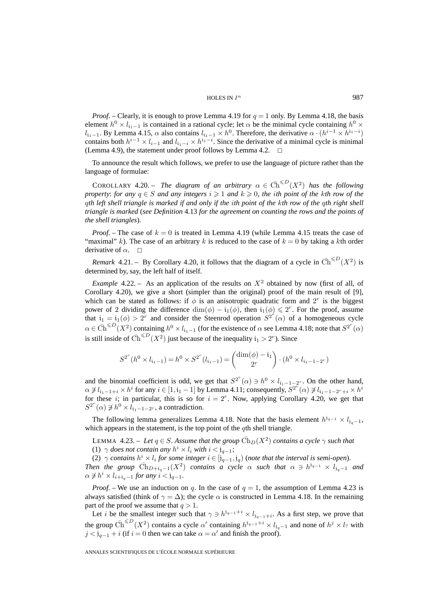#### HOLES IN  $I^n$  987

*Proof.* – Clearly, it is enough to prove Lemma 4.19 for  $q = 1$  only. By Lemma 4.18, the basis element  $h^0 \times l_{i_1-1}$  is contained in a rational cycle; let  $\alpha$  be the minimal cycle containing  $h^0 \times$  $l_{i_1-1}$ . By Lemma 4.15,  $\alpha$  also contains  $l_{i_1-1} \times h^0$ . Therefore, the derivative  $\alpha \cdot (h^{i-1} \times h^{i_1-i})$ contains both  $h^{i-1} \times l_{i-1}$  and  $l_{i_1-i} \times h^{i_1-i}$ . Since the derivative of a minimal cycle is minimal (Lemma 4.9), the statement under proof follows by Lemma 4.2.  $\Box$ 

To announce the result which follows, we prefer to use the language of picture rather than the language of formulae:

COROLLARY 4.20. – *The diagram of an arbitrary*  $\alpha \in \overline{Ch}^{\leq D}(X^2)$  *has the following property: for any*  $q \in S$  *and any integers*  $i \geq 1$  *and*  $k \geq 0$ *, the ith point of the kth row of the* q*th left shell triangle is marked if and only if the* i*th point of the* k*th row of the* q*th right shell triangle is marked* (*see Definition* 4.13 *for the agreement on counting the rows and the points of the shell triangles*)*.*

*Proof.* – The case of  $k = 0$  is treated in Lemma 4.19 (while Lemma 4.15 treats the case of "maximal" k). The case of an arbitrary k is reduced to the case of  $k = 0$  by taking a kth order derivative of  $\alpha$ .  $\Box$ 

*Remark* 4.21. – By Corollary 4.20, it follows that the diagram of a cycle in  $\overline{Ch}^{\leq D}(X^2)$  is determined by, say, the left half of itself.

*Example* 4.22. – As an application of the results on  $X^2$  obtained by now (first of all, of Corollary 4.20), we give a short (simpler than the original) proof of the main result of [9], which can be stated as follows: if  $\phi$  is an anisotropic quadratic form and  $2^r$  is the biggest power of 2 dividing the difference  $\dim(\phi) - i_1(\phi)$ , then  $i_1(\phi) \leq 2^r$ . For the proof, assume that  $i_1 = i_1(\phi) > 2^r$  and consider the Steenrod operation  $S^{2^r}(\alpha)$  of a homogeneous cycle  $\alpha \in \bar{Ch}^{\leq D}(X^2)$  containing  $h^0 \times l_{i_1-1}$  (for the existence of  $\alpha$  see Lemma 4.18; note that  $S^{2^r}(\alpha)$ is still inside of  $\bar{\text{Ch}}^{\leq D}(X^2)$  just because of the inequality  $i_1 > 2^r$ ). Since

$$
S^{2^r}(h^0 \times l_{i_1-1}) = h^0 \times S^{2^r}(l_{i_1-1}) = {\dim(\phi) - i_1 \choose 2^r} \cdot (h^0 \times l_{i_1-1-2^r})
$$

and the binomial coefficient is odd, we get that  $S^{2^r}(\alpha) \ni h^0 \times l_{i_1-1-2^r}$ . On the other hand,  $\alpha \not\ni l_{i_1-1+i} \times h^i$  for any  $i \in [1, i_1-1]$  by Lemma 4.11; consequently,  $S^{2^r}(\alpha) \not\ni l_{i_1-1-2^r+i} \times h^i$ for these i; in particular, this is so for  $i = 2<sup>r</sup>$ . Now, applying Corollary 4.20, we get that  $S^{2^r}(\alpha) \not\ni h^0 \times l_{i_1-1-2^r}$ , a contradiction.

The following lemma generalizes Lemma 4.18. Note that the basis element  $h^{j_{q-1}} \times l_{j_{q-1}}$ , which appears in the statement, is the top point of the qth shell triangle.

LEMMA 4.23. – Let  $q \in S$ . Assume that the group  $\overline{Ch}_D(X^2)$  contains a cycle  $\gamma$  such that

(1)  $\gamma$  *does not contain any*  $h^i \times l_i$  *with*  $i < j_{q-1}$ ;

(2)  $\gamma$  *contains*  $h^i \times l_i$  *for some integer*  $i \in [j_{q-1}, j_q)$  (*note that the interval is semi-open*). *Then the group*  $\bar{Ch}_{D+i_q-1}(X^2)$  *contains a cycle*  $\alpha$  *such that*  $\alpha \ni h^{j_q-1} \times l_{j_q-1}$  *and*  $\alpha \not\ni h^i \times l_{i+i_q-1}$  *for any*  $i < j_{q-1}$ *.* 

*Proof.* – We use an induction on q. In the case of  $q = 1$ , the assumption of Lemma 4.23 is always satisfied (think of  $\gamma = \Delta$ ); the cycle  $\alpha$  is constructed in Lemma 4.18. In the remaining part of the proof we assume that  $q > 1$ .

Let i be the smallest integer such that  $\gamma \ni h^{j_{q-1}+i} \times l_{j_{q-1}+i}$ . As a first step, we prove that the group  $\bar{Ch}^{\leq D}(X^2)$  contains a cycle  $\alpha'$  containing  $h^{j_{q-1}+i} \times l_{j_q-1}$  and none of  $h^j \times l_2$  with  $j < j_{q-1} + i$  (if  $i = 0$  then we can take  $\alpha = \alpha'$  and finish the proof).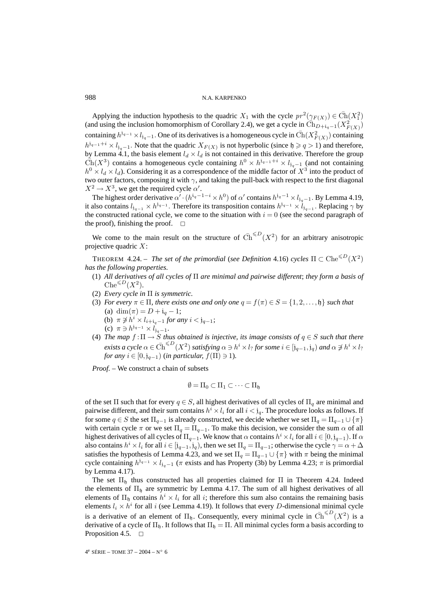Applying the induction hypothesis to the quadric  $X_1$  with the cycle  $pr^2(\gamma_{F(X)}) \in \overline{\text{Ch}}(X_1^2)$ (and using the inclusion homomorphism of Corollary 2.4), we get a cycle in  $\overline{Ch}_{D+i_q-1}(X_{F(X)}^2)$ containing  $h^{j_{q-1}} \times l_{j_{q-1}}$ . One of its derivatives is a homogeneous cycle in  $\bar{Ch}(X_{F(X)}^2)$  containing  $h^{j_{q-1}+i} \times l_{j_{q-1}}$ . Note that the quadric  $X_{F(X)}$  is not hyperbolic (since  $\mathfrak{h} \geq q > 1$ ) and therefore, by Lemma 4.1, the basis element  $l_d \times l_d$  is not contained in this derivative. Therefore the group  $\tilde{\text{Ch}}(X^3)$  contains a homogeneous cycle containing  $h^0 \times h^{j_{q-1}+i} \times l_{j_q-1}$  (and not containing  $h^0 \times l_d \times l_d$ ). Considering it as a correspondence of the middle factor of  $X^3$  into the product of two outer factors, composing it with  $\gamma$ , and taking the pull-back with respect to the first diagonal  $X^2 \to X^3$ , we get the required cycle  $\alpha'$ .

The highest order derivative  $\alpha' \cdot (h^{i_q-1-i} \times h^0)$  of  $\alpha'$  contains  $h^{i_q-1} \times l_{i_q-1}$ . By Lemma 4.19, it also contains  $l_{j_{q-1}} \times h^{j_{q-1}}$ . Therefore its transposition contains  $h^{j_{q-1}} \times l_{j_{q-1}}$ . Replacing  $\gamma$  by the constructed rational cycle, we come to the situation with  $i = 0$  (see the second paragraph of the proof), finishing the proof.  $\Box$ 

We come to the main result on the structure of  $\overline{Ch}^{\leq D}(X^2)$  for an arbitrary anisotropic projective quadric  $X$ :

THEOREM 4.24. – *The set of the primordial* (*see Definition* 4.16) *cycles*  $\Pi \subset \text{Che}^{\le D}(X^2)$ *has the following properties.*

- (1) *All derivatives of all cycles of* Π *are minimal and pairwise different*; *they form a basis of*  $\text{Che}^{\leqslant D}(X^2)$ .
- (2) *Every cycle in* Π *is symmetric.*
- (3) *For every*  $\pi \in \Pi$ *, there exists one and only one*  $q = f(\pi) \in S = \{1, 2, ..., \mathfrak{h}\}$  *such that* (a) dim $(\pi) = D + i_q - 1;$ 
	- (b)  $\pi \not\ni h^i \times l_{i+i_q-1}$  *for any*  $i < j_{q-1}$ ;
	- (c)  $\pi \ni h^{j_{q-1}} \times l_{j_q-1}$ .
- (4) *The map*  $f: \Pi \to S$  *thus obtained is injective, its image consists of*  $q \in S$  *such that there exists a cycle*  $\alpha \in \bar{Ch}^{\leq D}(X^2)$  *satisfying*  $\alpha \ni h^i \times l$ ? *for some*  $i \in [j_{q-1},j_q)$  *and*  $\alpha \not\ni h^i \times l$ ? *for any*  $i \in [0, j_{q-1})$  (*in particular,*  $f(\Pi) \ni 1$ *).*

*Proof. –* We construct a chain of subsets

$$
\emptyset = \Pi_0 \subset \Pi_1 \subset \cdots \subset \Pi_{\mathfrak{h}}
$$

of the set  $\Pi$  such that for every  $q \in S$ , all highest derivatives of all cycles of  $\Pi_q$  are minimal and pairwise different, and their sum contains  $h^i \times l_i$  for all  $i < j_q$ . The procedure looks as follows. If for some  $q \in S$  the set  $\Pi_{q-1}$  is already constructed, we decide whether we set  $\Pi_q = \Pi_{q-1} \cup \{\pi\}$ with certain cycle  $\pi$  or we set  $\Pi_q = \Pi_{q-1}$ . To make this decision, we consider the sum  $\alpha$  of all highest derivatives of all cycles of  $\Pi_{q-1}$ . We know that  $\alpha$  contains  $h^i \times l_i$  for all  $i \in [0, j_{q-1})$ . If  $\alpha$ also contains  $h^i \times l_i$  for all  $i \in [j_{q-1},j_q)$ , then we set  $\Pi_q = \Pi_{q-1}$ ; otherwise the cycle  $\gamma = \alpha + \Delta$ satisfies the hypothesis of Lemma 4.23, and we set  $\Pi_q = \Pi_{q-1} \cup \{\pi\}$  with  $\pi$  being the minimal cycle containing  $h^{j_{q-1}} \times l_{j_{q-1}}$  ( $\pi$  exists and has Property (3b) by Lemma 4.23;  $\pi$  is primordial by Lemma 4.17).

The set  $\Pi_b$  thus constructed has all properties claimed for  $\Pi$  in Theorem 4.24. Indeed the elements of  $\Pi_b$  are symmetric by Lemma 4.17. The sum of all highest derivatives of all elements of  $\Pi_b$  contains  $h^i \times l_i$  for all i; therefore this sum also contains the remaining basis elements  $l_i \times h^i$  for all i (see Lemma 4.19). It follows that every D-dimensional minimal cycle is a derivative of an element of  $\Pi_{\mathfrak{h}}$ . Consequently, every minimal cycle in  $\bar{\text{Ch}}^{\leq D}(X^2)$  is a derivative of a cycle of  $\Pi_b$ . It follows that  $\Pi_b = \Pi$ . All minimal cycles form a basis according to Proposition 4.5.  $\Box$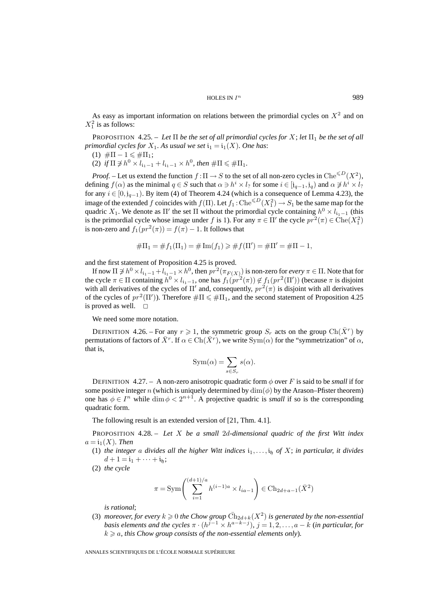As easy as important information on relations between the primordial cycles on  $X<sup>2</sup>$  and on  $X_1^2$  is as follows:

PROPOSITION 4.25. – Let  $\Pi$  be the set of all primordial cycles for X; let  $\Pi_1$  be the set of all *primordial cycles for*  $X_1$ *. As usual we set*  $i_1 = i_1(X)$ *. One has:* 

- (1)  $\#\Pi 1 \leq \#\Pi_1;$
- (2) *if*  $\Pi \not\ni h^0 \times l_{i_1-1} + l_{i_1-1} \times h^0$ , then  $\#\Pi \leq \#\Pi_1$ .

*Proof.* – Let us extend the function  $f : \Pi \to S$  to the set of all non-zero cycles in  $\text{Che}^{\leq D}(X^2)$ , defining  $f(\alpha)$  as the minimal  $q \in S$  such that  $\alpha \ni h^i \times l_1$  for some  $i \in [j_{q-1}, j_q)$  and  $\alpha \not\ni h^i \times l_1$ for any  $i \in [0, j_{q-1})$ . By item (4) of Theorem 4.24 (which is a consequence of Lemma 4.23), the image of the extended f coincides with  $f(\Pi)$ . Let  $f_1$  :  $\text{Che}^{\le D}(X_1^2) \to S_1$  be the same map for the quadric  $X_1$ . We denote as  $\Pi'$  the set  $\Pi$  without the primordial cycle containing  $h^0 \times l_{i_1-1}$  (this is the primordial cycle whose image under f is 1). For any  $\pi \in \Pi'$  the cycle  $pr^2(\pi) \in \text{Che}(X_1^2)$ is non-zero and  $f_1(pr^2(\pi)) = f(\pi) - 1$ . It follows that

$$
#\Pi_1 = #f_1(\Pi_1) = #\operatorname{Im}(f_1) \geq #f(\Pi') = #\Pi' = #\Pi - 1,
$$

and the first statement of Proposition 4.25 is proved.

If now  $\Pi \not\supseteq h^0 \times l_{i_1-1} + l_{i_1-1} \times h^0$ , then  $pr^2(\pi_{F(X)})$  is non-zero for *every*  $\pi \in \Pi$ . Note that for the cycle  $\pi \in \Pi$  containing  $h^0 \times l_{i_1-1}$ , one has  $f_1(pr^2(\pi)) \notin f_1(pr^2(\Pi'))$  (because  $\pi$  is disjoint with all derivatives of the cycles of  $\Pi'$  and, consequently,  $pr^2(\pi)$  is disjoint with all derivatives of the cycles of  $pr^2(\Pi')$ ). Therefore  $\#\Pi \leq \#\Pi_1$ , and the second statement of Proposition 4.25 is proved as well.  $\Box$ 

We need some more notation.

DEFINITION 4.26. – For any  $r \ge 1$ , the symmetric group  $S_r$  acts on the group  $Ch(X^r)$  by permutations of factors of  $\overline{X}^r$ . If  $\alpha \in \text{Ch}(\overline{X}^r)$ , we write  $\text{Sym}(\alpha)$  for the "symmetrization" of  $\alpha$ , that is,

$$
Sym(\alpha) = \sum_{s \in S_r} s(\alpha).
$$

DEFINITION 4.27. – A non-zero anisotropic quadratic form  $\phi$  over F is said to be *small* if for some positive integer n (which is uniquely determined by  $\dim(\phi)$  by the Arason–Pfister theorem) one has  $\phi \in I^n$  while  $\dim \phi < 2^{n+1}$ . A projective quadric is *small* if so is the corresponding quadratic form.

The following result is an extended version of [21, Thm. 4.1].

PROPOSITION 4.28. – *Let* X *be a small* 2d*-dimensional quadric of the first Witt index*  $a = i_1(X)$ *. Then* 

(1) *the integer* a *divides all the higher Witt indices*  $i_1, \ldots, i_p$  *of* X; *in particular, it divides*  $d + 1 = i_1 + \cdots + i_h;$ 

(2) *the cycle*

$$
\pi = \text{Sym}\left(\sum_{i=1}^{(d+1)/a} h^{(i-1)a} \times l_{ia-1}\right) \in \text{Ch}_{2d+a-1}(\bar{X}^2)
$$

*is rational*;

(3) *moreover, for every*  $k \geq 0$  *the Chow group*  $\overline{\text{Ch}}_{2d+k}(X^2)$  *is generated by the non-essential basis elements and the cycles*  $\pi \cdot (h^{j-1} \times h^{a-k-j})$ ,  $j = 1, 2, ..., a-k$  (*in particular, for*  $k \geq a$ , this Chow group consists of the non-essential elements only).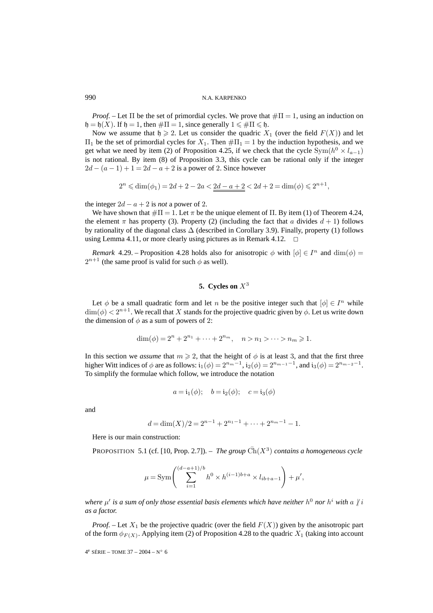*Proof.* – Let  $\Pi$  be the set of primordial cycles. We prove that  $\#\Pi = 1$ , using an induction on  $\mathfrak{h} = \mathfrak{h}(X)$ . If  $\mathfrak{h} = 1$ , then  $\#\Pi = 1$ , since generally  $1 \le \#\Pi \le \mathfrak{h}$ .

Now we assume that  $\mathfrak{h} \geq 2$ . Let us consider the quadric  $X_1$  (over the field  $F(X)$ ) and let  $\Pi_1$  be the set of primordial cycles for  $X_1$ . Then  $# \Pi_1 = 1$  by the induction hypothesis, and we get what we need by item (2) of Proposition 4.25, if we check that the cycle  $Sym(h^0 \times l_{a-1})$ is not rational. By item (8) of Proposition 3.3, this cycle can be rational only if the integer  $2d - (a - 1) + 1 = 2d - a + 2$  is a power of 2. Since however

$$
2^{n} \leq \dim(\phi_1) = 2d + 2 - 2a < 2d - a + 2 < 2d + 2 = \dim(\phi) \leq 2^{n+1},
$$

the integer  $2d - a + 2$  is *not* a power of 2.

We have shown that  $\#\Pi = 1$ . Let  $\pi$  be the unique element of  $\Pi$ . By item (1) of Theorem 4.24, the element  $\pi$  has property (3). Property (2) (including the fact that a divides  $d + 1$ ) follows by rationality of the diagonal class  $\Delta$  (described in Corollary 3.9). Finally, property (1) follows using Lemma 4.11, or more clearly using pictures as in Remark 4.12.  $\Box$ 

*Remark* 4.29. – Proposition 4.28 holds also for anisotropic  $\phi$  with  $[\phi] \in I^n$  and  $\dim(\phi) =$  $2^{n+1}$  (the same proof is valid for such  $\phi$  as well).

# **5.** Cycles on  $X^3$

Let  $\phi$  be a small quadratic form and let n be the positive integer such that  $[\phi] \in I^n$  while  $\dim(\phi) < 2^{n+1}$ . We recall that X stands for the projective quadric given by  $\phi$ . Let us write down the dimension of  $\phi$  as a sum of powers of 2:

$$
\dim(\phi) = 2^n + 2^{n_1} + \dots + 2^{n_m}, \quad n > n_1 > \dots > n_m \ge 1.
$$

In this section we *assume* that  $m \ge 2$ , that the height of  $\phi$  is at least 3, and that the first three higher Witt indices of  $\phi$  are as follows:  $i_1(\phi)=2^{n_m-1}$ ,  $i_2(\phi)=2^{n_m-1}-1$ , and  $i_3(\phi)=2^{n_m-2}-1$ . To simplify the formulae which follow, we introduce the notation

$$
a = i_1(\phi);
$$
  $b = i_2(\phi);$   $c = i_3(\phi)$ 

and

$$
d = \dim(X)/2 = 2^{n-1} + 2^{n_1-1} + \dots + 2^{n_m-1} - 1.
$$

Here is our main construction:

PROPOSITION 5.1 (cf. [10, Prop. 2.7]). – *The group*  $\overline{Ch}(X^3)$  *contains a homogeneous cycle* 

$$
\mu = \text{Sym}\left(\sum_{i=1}^{(d-a+1)/b} h^0 \times h^{(i-1)b+a} \times l_{ib+a-1}\right) + \mu',
$$

*where*  $\mu'$  *is a sum of only those essential basis elements which have neither*  $h^0$  *nor*  $h^i$  *with* a  $\chi$ *i as a factor.*

*Proof.* – Let  $X_1$  be the projective quadric (over the field  $F(X)$ ) given by the anisotropic part of the form  $\phi_{F(X)}$ . Applying item (2) of Proposition 4.28 to the quadric  $X_1$  (taking into account

 $4^e$  SÉRIE – TOME 37 – 2004 – N° 6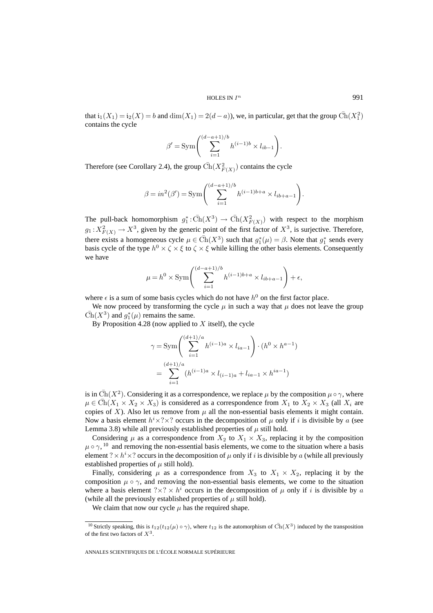that  $i_1(X_1) = i_2(X) = b$  and  $dim(X_1) = 2(d - a)$ , we, in particular, get that the group  $\overline{Ch}(X_1^2)$ contains the cycle

$$
\beta' = \text{Sym}\left(\sum_{i=1}^{(d-a+1)/b} h^{(i-1)b} \times l_{ib-1}\right).
$$

Therefore (see Corollary 2.4), the group  $\overline{\text{Ch}}(X_{F(X)}^2)$  contains the cycle

$$
\beta = in^{2}(\beta') = \text{Sym}\left(\sum_{i=1}^{(d-a+1)/b} h^{(i-1)b+a} \times l_{ib+a-1}\right).
$$

The pull-back homomorphism  $g_1^* : \bar{Ch}(X^3) \to \bar{Ch}(X^2_{F(X)})$  with respect to the morphism  $g_1: X^2_{F(X)} \to X^3$ , given by the generic point of the first factor of  $X^3$ , is surjective. Therefore, there exists a homogeneous cycle  $\mu \in \overline{Ch}(X^3)$  such that  $g_1^*(\mu) = \beta$ . Note that  $g_1^*$  sends every basis cycle of the type  $h^0 \times \zeta \times \xi$  to  $\zeta \times \xi$  while killing the other basis elements. Consequently we have

$$
\mu = h^0 \times \text{Sym}\left(\sum_{i=1}^{(d-a+1)/b} h^{(i-1)b+a} \times l_{ib+a-1}\right) + \epsilon,
$$

where  $\epsilon$  is a sum of some basis cycles which do not have  $h^0$  on the first factor place.

We now proceed by transforming the cycle  $\mu$  in such a way that  $\mu$  does not leave the group  $\bar{\text{Ch}}(X^3)$  and  $g_1^*(\mu)$  remains the same.

By Proposition 4.28 (now applied to  $X$  itself), the cycle

$$
\gamma = \text{Sym}\left(\sum_{i=1}^{(d+1)/a} h^{(i-1)a} \times l_{ia-1}\right) \cdot (h^0 \times h^{a-1})
$$

$$
= \sum_{i=1}^{(d+1)/a} (h^{(i-1)a} \times l_{(i-1)a} + l_{ia-1} \times h^{ia-1})
$$

is in  $\bar{Ch}(X^2)$ . Considering it as a correspondence, we replace  $\mu$  by the composition  $\mu \circ \gamma$ , where  $\mu \in \text{Ch}(X_1 \times X_2 \times X_3)$  is considered as a correspondence from  $X_1$  to  $X_2 \times X_3$  (all  $X_i$  are copies of X). Also let us remove from  $\mu$  all the non-essential basis elements it might contain. Now a basis element  $h^i \times ? \times ?$  occurs in the decomposition of  $\mu$  only if i is divisible by a (see Lemma 3.8) while all previously established properties of  $\mu$  still hold.

Considering  $\mu$  as a correspondence from  $X_2$  to  $X_1 \times X_3$ , replacing it by the composition  $\mu \circ \gamma$ , <sup>10</sup> and removing the non-essential basis elements, we come to the situation where a basis element ?  $\times h^i \times$ ? occurs in the decomposition of  $\mu$  only if i is divisible by a (while all previously established properties of  $\mu$  still hold).

Finally, considering  $\mu$  as a correspondence from  $X_3$  to  $X_1 \times X_2$ , replacing it by the composition  $\mu \circ \gamma$ , and removing the non-essential basis elements, we come to the situation where a basis element  $? \times ? \times h^i$  occurs in the decomposition of  $\mu$  only if i is divisible by a (while all the previously established properties of  $\mu$  still hold).

We claim that now our cycle  $\mu$  has the required shape.

<sup>&</sup>lt;sup>10</sup> Strictly speaking, this is  $t_{12}(t_1/(\mu) \circ \gamma)$ , where  $t_{12}$  is the automorphism of  $\overline{Ch}(X^3)$  induced by the transposition of the first two factors of  $X^3$ .

ANNALES SCIENTIFIQUES DE L'ÉCOLE NORMALE SUPÉRIEURE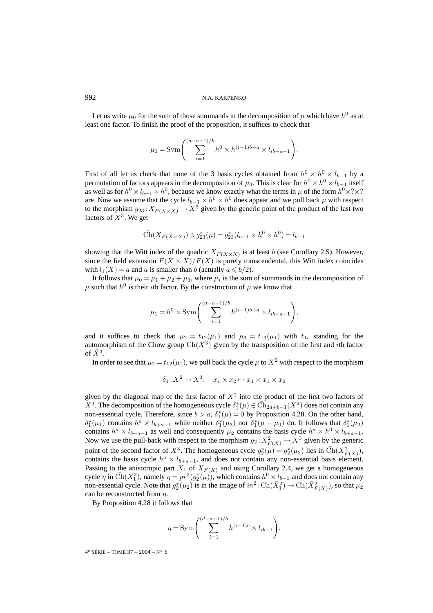Let us write  $\mu_0$  for the sum of those summands in the decomposition of  $\mu$  which have  $h^0$  as at least one factor. To finish the proof of the proposition, it suffices to check that

$$
\mu_0 = \text{Sym}\left(\sum_{i=1}^{(d-a+1)/b} h^0 \times h^{(i-1)b+a} \times l_{ib+a-1}\right).
$$

First of all let us check that none of the 3 basis cycles obtained from  $h^0 \times h^0 \times l_{b-1}$  by a permutation of factors appears in the decomposition of  $\mu_0$ . This is clear for  $h^0 \times h^0 \times l_{b-1}$  itself as well as for  $h^0 \times l_{b-1} \times h^0$ , because we know exactly what the terms in  $\mu$  of the form  $h^0 \times ? \times ?$ are. Now we assume that the cycle  $l_{b-1} \times h^0 \times h^0$  does appear and we pull back  $\mu$  with respect to the morphism  $g_{23}$ :  $X_{F(X\times X)} \to X^3$  given by the generic point of the product of the last two factors of  $X^3$ . We get

$$
\bar{\operatorname{Ch}}(X_{F(X \times X)}) \ni g^*_{23}(\mu) = g^*_{23}(l_{b-1} \times h^0 \times h^0) = l_{b-1}
$$

showing that the Witt index of the quadric  $X_{F(X\times X)}$  is at least b (see Corollary 2.5). However, since the field extension  $F(X \times X)/F(X)$  is purely transcendental, this Witt index coincides with  $i_1(X) = a$  and a is smaller than b (actually  $a \le b/2$ ).

It follows that  $\mu_0 = \mu_1 + \mu_2 + \mu_3$ , where  $\mu_i$  is the sum of summands in the decomposition of  $\mu$  such that  $h^0$  is their *i*th factor. By the construction of  $\mu$  we know that

$$
\mu_1 = h^0 \times \text{Sym}\left(\sum_{i=1}^{(d-a+1)/b} h^{(i-1)b+a} \times l_{ib+a-1}\right),
$$

and it suffices to check that  $\mu_2 = t_{12}(\mu_1)$  and  $\mu_3 = t_{13}(\mu_1)$  with  $t_{1i}$  standing for the automorphism of the Chow group  $\text{Ch}(\bar{X}^3)$  given by the transposition of the first and *i*th factor of  $\bar{X}^3$ .

In order to see that  $\mu_2 = t_{12}(\mu_1)$ , we pull back the cycle  $\mu$  to  $X^2$  with respect to the morphism

$$
\delta_1: X^2 \to X^3, \quad x_1 \times x_2 \mapsto x_1 \times x_1 \times x_2
$$

given by the diagonal map of the first factor of  $X<sup>2</sup>$  into the product of the first two factors of  $X^3$ . The decomposition of the homogeneous cycle  $\delta_1^*(\mu) \in \bar{\mathrm{Ch}}_{2d+b-1}(X^2)$  does not contain any non-essential cycle. Therefore, since  $b > a$ ,  $\delta_1^*(\mu) = 0$  by Proposition 4.28. On the other hand,  $\delta_1^*(\mu_1)$  contains  $h^a \times l_{b+a-1}$  while neither  $\delta_1^*(\mu_3)$  nor  $\delta_1^*(\mu - \mu_0)$  do. It follows that  $\delta_1^*(\mu_2)$ contains  $h^a \times l_{b+a-1}$  as well and consequently  $\mu_2$  contains the basis cycle  $h^a \times h^0 \times l_{b+a-1}$ . Now we use the pull-back with respect to the morphism  $g_2: X^2_{F(X)} \to X^3$  given by the generic point of the second factor of  $X^3$ . The homogeneous cycle  $g_2^*(\mu) = g_2^*(\mu_2)$  lies in  $\bar{Ch}(X_{F(X)}^2)$ , contains the basis cycle  $h^a \times l_{b+a-1}$ , and does not contain any non-essential basis element. Passing to the anisotropic part  $X_1$  of  $X_{F(X)}$  and using Corollary 2.4, we get a homogeneous cycle  $\eta$  in  $\bar{Ch}(X_1^2)$ , namely  $\eta = pr^2(g_2^*(\mu))$ , which contains  $h^0 \times l_{b-1}$  and does not contain any non-essential cycle. Note that  $g_2^*(\mu_2)$  is in the image of  $in^2: Ch(\bar{X}_1^2) \to Ch(\bar{X}_{F(X)}^2)$ , so that  $\mu_2$ can be reconstructed from  $\eta$ .

By Proposition 4.28 it follows that

$$
\eta = \text{Sym}\left(\sum_{i=1}^{(d-a+1)/b} h^{(i-1)b} \times l_{ib-1}\right).
$$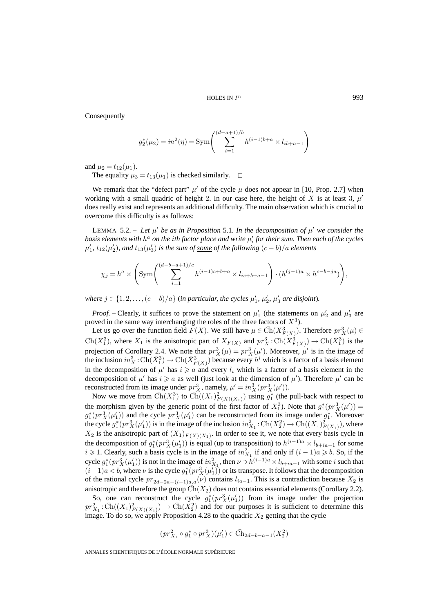Consequently

$$
g_2^*(\mu_2) = in^2(\eta) = \text{Sym}\left(\sum_{i=1}^{(d-a+1)/b} h^{(i-1)b+a} \times l_{ib+a-1}\right)
$$

and  $\mu_2 = t_{12}(\mu_1)$ .

The equality  $\mu_3 = t_{13}(\mu_1)$  is checked similarly.  $\Box$ 

We remark that the "defect part"  $\mu'$  of the cycle  $\mu$  does not appear in [10, Prop. 2.7] when working with a small quadric of height 2. In our case here, the height of X is at least 3,  $\mu'$ does really exist and represents an additional difficulty. The main observation which is crucial to overcome this difficulty is as follows:

LEMMA 5.2. – Let  $\mu'$  be as in Proposition 5.1. In the decomposition of  $\mu'$  we consider the  $b$ asis elements with  $h^a$  on the  $i$ th factor place and write  $\mu_i'$  for their sum. Then each of the cycles  $\mu_1'$ ,  $t_{12}(\mu_2')$ , and  $t_{13}(\mu_3')$  is the sum of <u>some</u> of the following  $(c - b)/a$  elements

$$
\chi_j = h^a \times \left( \text{Sym} \left( \sum_{i=1}^{(d-b-a+1)/c} h^{(i-1)c+b+a} \times l_{ic+b+a-1} \right) \cdot (h^{(j-1)a} \times h^{c-b-ja}) \right),
$$

*where*  $j \in \{1, 2, \ldots, (c - b)/a\}$  (*in particular, the cycles*  $\mu'_1$ ,  $\mu'_2$ ,  $\mu'_3$  *are disjoint*).

*Proof.* – Clearly, it suffices to prove the statement on  $\mu'_1$  (the statements on  $\mu'_2$  and  $\mu'_3$  are proved in the same way interchanging the roles of the three factors of  $X<sup>3</sup>$ .

Let us go over the function field  $F(X)$ . We still have  $\mu \in \overline{Ch}(X^3_{F(X)})$ . Therefore  $pr_X^3(\mu) \in$  $\bar{\text{Ch}}(X_1^3)$ , where  $X_1$  is the anisotropic part of  $X_{F(X)}$  and  $pr_X^3: \text{Ch}(\bar{X}_{F(X)}^3) \to \text{Ch}(\bar{X}_1^3)$  is the projection of Corollary 2.4. We note that  $pr_X^3(\mu) = pr_X^3(\mu')$ . Moreover,  $\mu'$  is in the image of the inclusion  $in_X^3: \text{Ch}(\bar{X}_1^3) \to \text{Ch}(\bar{X}_{F(X)}^3)$  because every  $h^i$  which is a factor of a basis element in the decomposition of  $\mu'$  has  $i \ge a$  and every  $l_i$  which is a factor of a basis element in the decomposition of  $\mu'$  has  $i \geq a$  as well (just look at the dimension of  $\mu'$ ). Therefore  $\mu'$  can be reconstructed from its image under  $pr_X^3$ , namely,  $\mu' = in_X^3(pr_X^3(\mu'))$ .

Now we move from  $\overline{\text{Ch}}(X_1^3)$  to  $\overline{\text{Ch}}((X_1)_{F(X)(X_1)}^2)$  using  $g_1^*$  (the pull-back with respect to the morphism given by the generic point of the first factor of  $X_1^3$ ). Note that  $g_1^*(pr_X^3(\mu'))$  =  $g_1^*(pr_X^3(\mu_1'))$  and the cycle  $pr_X^3(\mu_1')$  can be reconstructed from its image under  $g_1^*$ . Moreover the cycle  $g_1^*(pr_X^3(\mu_1'))$  is in the image of the inclusion  $in_{X_1}^2$ : Ch $(\bar{X}_2^2)$   $\rightarrow$  Ch $((\bar{X}_1)^2_{F(X_1)})$ , where  $X_2$  is the anisotropic part of  $(X_1)_{F(X)(X_1)}$ . In order to see it, we note that every basis cycle in the decomposition of  $g_1^*(pr_X^3(\mu_1'))$  is equal (up to transposition) to  $h^{(i-1)a} \times l_{b+ia-1}$  for some  $i \geq 1$ . Clearly, such a basis cycle is in the image of  $in_{X_1}^2$  if and only if  $(i - 1)a \geq b$ . So, if the cycle  $g_1^*(pr_X^3(\mu_1'))$  is not in the image of  $in_{X_1}^2$ , then  $\nu \ni h^{(i-1)a} \times l_{b+ia-1}$  with some i such that  $(i-1)a < b$ , where  $\nu$  is the cycle  $g_1^*(pr_X^3(\mu_1'))$  or its transpose. It follows that the decomposition of the rational cycle  $pr_{2d-2a-(i-1)a,a}(\nu)$  contains  $l_{ia-1}$ . This is a contradiction because  $X_2$  is anisotropic and therefore the group  $Ch(X_2)$  does not contains essential elements (Corollary 2.2).

So, one can reconstruct the cycle  $g_1^*(pr_X^3(\mu_1'))$  from its image under the projection  $pr_{X_1}^2 : \overline{\text{Ch}}((X_1)_{F(X)(X_1)}^2) \to \overline{\text{Ch}}(X_2^2)$  and for our purposes it is sufficient to determine this image. To do so, we apply Proposition 4.28 to the quadric  $X_2$  getting that the cycle

$$
(pr^2_{X_1} \circ g_1^* \circ pr^3_X)(\mu'_1) \in \bar{\text{Ch}}_{2d-b-a-1}(X_2^2)
$$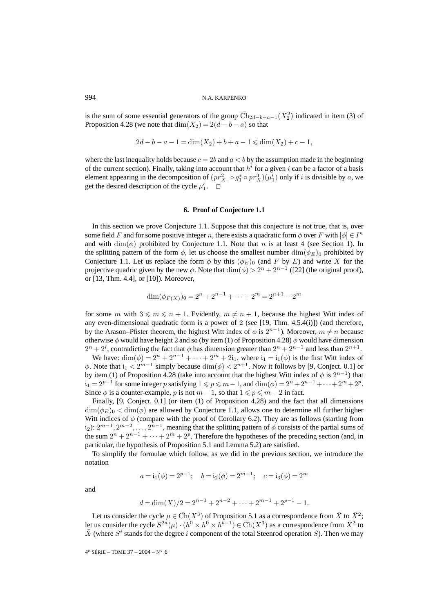is the sum of some essential generators of the group  $\overline{\text{Ch}}_{2d-b-a-1}(X_2^2)$  indicated in item (3) of Proposition 4.28 (we note that  $\dim(X_2) = 2(d - b - a)$  so that

$$
2d - b - a - 1 = \dim(X_2) + b + a - 1 \le \dim(X_2) + c - 1,
$$

where the last inequality holds because  $c = 2b$  and  $a < b$  by the assumption made in the beginning of the current section). Finally, taking into account that  $h<sup>i</sup>$  for a given i can be a factor of a basis element appearing in the decomposition of  $(pr_{X_1}^2 \circ g_1^* \circ pr_X^3)(\mu'_1)$  only if *i* is divisible by *a*, we get the desired description of the cycle  $\mu'_1$ .  $\Box$ 

## **6. Proof of Conjecture 1.1**

In this section we prove Conjecture 1.1. Suppose that this conjecture is not true, that is, over some field F and for some positive integer n, there exists a quadratic form  $\phi$  over F with  $[\phi] \in I^n$ and with  $\dim(\phi)$  prohibited by Conjecture 1.1. Note that n is at least 4 (see Section 1). In the splitting pattern of the form  $\phi$ , let us choose the smallest number  $\dim(\phi_E)_0$  prohibited by Conjecture 1.1. Let us replace the form  $\phi$  by this  $(\phi_E)_0$  (and F by E) and write X for the projective quadric given by the new  $\phi$ . Note that  $\dim(\phi) > 2^n + 2^{n-1}$  ([22] (the original proof), or [13, Thm. 4.4], or [10]). Moreover,

$$
\dim(\phi_{F(X)})_0 = 2^n + 2^{n-1} + \dots + 2^m = 2^{n+1} - 2^m
$$

for some m with  $3 \leq m \leq n + 1$ . Evidently,  $m \neq n + 1$ , because the highest Witt index of any even-dimensional quadratic form is a power of 2 (see [19, Thm. 4.5.4(i)]) (and therefore, by the Arason–Pfister theorem, the highest Witt index of  $\phi$  is  $2^{n-1}$ ). Moreover,  $m \neq n$  because otherwise  $\phi$  would have height 2 and so (by item (1) of Proposition 4.28)  $\phi$  would have dimension  $2^{n} + 2^{i}$ , contradicting the fact that  $\phi$  has dimension greater than  $2^{n} + 2^{n-1}$  and less than  $2^{n+1}$ .

We have:  $\dim(\phi)=2^n + 2^{n-1} + \cdots + 2^m + 2i_1$ , where  $i_1 = i_1(\phi)$  is the first Witt index of φ. Note that  $i_1 < 2^{m-1}$  simply because  $\dim(\phi) < 2^{n+1}$ . Now it follows by [9, Conject. 0.1] or by item (1) of Proposition 4.28 (take into account that the highest Witt index of  $\phi$  is  $2^{n-1}$ ) that  $i_1 = 2^{p-1}$  for some integer p satisfying  $1 \leqslant p \leqslant m-1$ , and  $\dim(\phi) = 2^n + 2^{n-1} + \cdots + 2^m + 2^p$ . Since  $\phi$  is a counter-example, p is not  $m - 1$ , so that  $1 \leqslant p \leqslant m - 2$  in fact.

Finally, [9, Conject. 0.1] (or item (1) of Proposition 4.28) and the fact that all dimensions  $\dim(\phi_E)_0 < \dim(\phi)$  are allowed by Conjecture 1.1, allows one to determine all further higher Witt indices of  $\phi$  (compare with the proof of Corollary 6.2). They are as follows (starting from i<sub>2</sub>):  $2^{m-1}$ ,  $2^{m-2}$ ,...,  $2^{n-1}$ , meaning that the splitting pattern of  $\phi$  consists of the partial sums of the sum  $2^{n} + 2^{n-1} + \cdots + 2^{m} + 2^{p}$ . Therefore the hypotheses of the preceding section (and, in particular, the hypothesis of Proposition 5.1 and Lemma 5.2) are satisfied.

To simplify the formulae which follow, as we did in the previous section, we introduce the notation

$$
a = i_1(\phi) = 2^{p-1};
$$
  $b = i_2(\phi) = 2^{m-1};$   $c = i_3(\phi) = 2^m$ 

and

$$
d = \dim(X)/2 = 2^{n-1} + 2^{n-2} + \dots + 2^{m-1} + 2^{p-1} - 1.
$$

Let us consider the cycle  $\mu \in \overline{Ch}(X^3)$  of Proposition 5.1 as a correspondence from  $\overline{X}$  to  $\overline{X}^2$ ; let us consider the cycle  $S^{2a}(\mu) \cdot (h^0 \times h^0 \times h^{b-1}) \in \overline{Ch}(X^3)$  as a correspondence from  $\overline{X}^2$  to  $\overline{X}$  (where  $S^i$  stands for the degree i component of the total Steenrod operation S). Then we may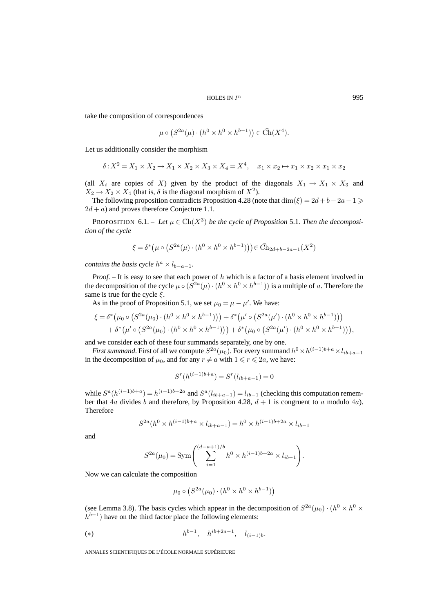take the composition of correspondences

$$
\mu \circ (S^{2a}(\mu) \cdot (h^0 \times h^0 \times h^{b-1})) \in \overline{\text{Ch}}(X^4).
$$

Let us additionally consider the morphism

$$
\delta: X^2 = X_1 \times X_2 \to X_1 \times X_2 \times X_3 \times X_4 = X^4, \quad x_1 \times x_2 \mapsto x_1 \times x_2 \times x_1 \times x_2
$$

(all  $X_i$  are copies of X) given by the product of the diagonals  $X_1 \rightarrow X_1 \times X_3$  and  $X_2 \rightarrow X_2 \times X_4$  (that is,  $\delta$  is the diagonal morphism of  $X^2$ ).

The following proposition contradicts Proposition 4.28 (note that  $\dim(\xi)=2d+b-2a-1\geq$  $2d + a$ ) and proves therefore Conjecture 1.1.

**PROPOSITION** 6.1. – Let  $\mu \in \overline{Ch}(X^3)$  be the cycle of Proposition 5.1. Then the decomposi*tion of the cycle*

$$
\xi = \delta^* (\mu \circ (S^{2a}(\mu) \cdot (h^0 \times h^0 \times h^{b-1}))) \in \bar{\text{Ch}}_{2d+b-2a-1}(X^2)
$$

*contains the basis cycle*  $h^a \times l_{b-a-1}$ *.* 

*Proof.* – It is easy to see that each power of h which is a factor of a basis element involved in the decomposition of the cycle  $\mu \circ (S^{2a}(\mu) \cdot (h^0 \times h^0 \times h^{b-1}))$  is a multiple of a. Therefore the same is true for the cycle  $\xi$ .

As in the proof of Proposition 5.1, we set  $\mu_0 = \mu - \mu'$ . We have:

$$
\xi = \delta^* (\mu_0 \circ (S^{2a}(\mu_0) \cdot (h^0 \times h^0 \times h^{b-1}))) + \delta^* (\mu' \circ (S^{2a}(\mu') \cdot (h^0 \times h^0 \times h^{b-1}))) + \delta^* (\mu' \circ (S^{2a}(\mu_0) \cdot (h^0 \times h^0 \times h^{b-1}))) + \delta^* (\mu_0 \circ (S^{2a}(\mu') \cdot (h^0 \times h^0 \times h^{b-1}))),
$$

and we consider each of these four summands separately, one by one.

*First summand*. First of all we compute  $S^{2a}(\mu_0)$ . For every summand  $h^0 \times h^{(i-1)b+a} \times l_{ib+a-1}$ in the decomposition of  $\mu_0$ , and for any  $r \neq a$  with  $1 \leq r \leq 2a$ , we have:

$$
Sr(h(i-1)b+a) = Sr(lib+a-1) = 0
$$

while  $S^a(h^{(i-1)b+a}) = h^{(i-1)b+2a}$  and  $S^a(l_{ib+a-1}) = l_{ib-1}$  (checking this computation remember that  $4a$  divides b and therefore, by Proposition 4.28,  $d + 1$  is congruent to a modulo  $4a$ ). Therefore

$$
S^{2a}(h^{0} \times h^{(i-1)b+a} \times l_{ib+a-1}) = h^{0} \times h^{(i-1)b+2a} \times l_{ib-1}
$$

and

$$
S^{2a}(\mu_0) = \text{Sym}\left(\sum_{i=1}^{(d-a+1)/b} h^0 \times h^{(i-1)b+2a} \times l_{ib-1}\right).
$$

Now we can calculate the composition

$$
\mu_0 \circ (S^{2a}(\mu_0) \cdot (h^0 \times h^0 \times h^{b-1}))
$$

(see Lemma 3.8). The basis cycles which appear in the decomposition of  $S^{2a}(\mu_0) \cdot (h^0 \times h^0 \times h^0)$  $h^{b-1}$ ) have on the third factor place the following elements:

(\*) 
$$
h^{b-1}
$$
,  $h^{ib+2a-1}$ ,  $l_{(i-1)b}$ .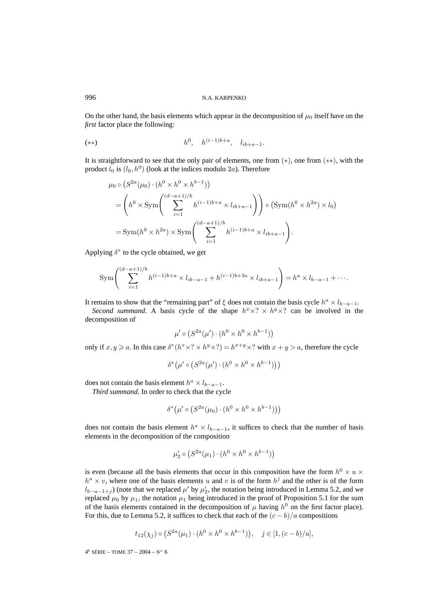On the other hand, the basis elements which appear in the decomposition of  $\mu_0$  itself have on the *first* factor place the following:

$$
(*) \t h0, \t h(i-1)b+a, \t lib+a-1.
$$

It is straightforward to see that the only pair of elements, one from (∗), one from (∗∗), with the product  $l_0$  is  $(l_0, h^0)$  (look at the indices modulo 2a). Therefore

$$
\mu_0 \circ (S^{2a}(\mu_0) \cdot (h^0 \times h^0 \times h^{b-1}))
$$
\n
$$
= \left(h^0 \times \text{Sym}\left(\sum_{i=1}^{(d-a+1)/b} h^{(i-1)b+a} \times l_{ib+a-1}\right)\right) \circ (\text{Sym}(h^0 \times h^{2a}) \times l_0)
$$
\n
$$
= \text{Sym}(h^0 \times h^{2a}) \times \text{Sym}\left(\sum_{i=1}^{(d-a+1)/b} h^{(i-1)b+a} \times l_{ib+a-1}\right).
$$

Applying  $\delta^*$  to the cycle obtained, we get

$$
\text{Sym}\left(\sum_{i=1}^{(d-a+1)/b} h^{(i-1)b+a} \times l_{ib-a-1} + h^{(i-1)b+3a} \times l_{ib+a-1}\right) = h^a \times l_{b-a-1} + \cdots.
$$

It remains to show that the "remaining part" of  $\xi$  does not contain the basis cycle  $h^a \times l_{b-a-1}$ .

*Second summand*. A basis cycle of the shape  $h^x \times ? \times h^y \times ?$  can be involved in the decomposition of

$$
\mu' \circ (S^{2a}(\mu') \cdot (h^0 \times h^0 \times h^{b-1}))
$$

only if  $x, y \ge a$ . In this case  $\delta^*(h^x \times ? \times h^y \times ?) = h^{x+y} \times ?$  with  $x + y > a$ , therefore the cycle

$$
\delta^* (\mu' \circ (S^{2a}(\mu') \cdot (h^0 \times h^0 \times h^{b-1})))
$$

does not contain the basis element  $h^a \times l_{b-a-1}$ .

*Third summand*. In order to check that the cycle

$$
\delta^* (\mu' \circ (S^{2a}(\mu_0) \cdot (h^0 \times h^0 \times h^{b-1})))
$$

does not contain the basis element  $h^a \times l_{b-a-1}$ , it suffices to check that the number of basis elements in the decomposition of the composition

$$
\mu_2' \circ (S^{2a}(\mu_1) \cdot (h^0 \times h^0 \times h^{b-1}))
$$

is even (because all the basis elements that occur in this composition have the form  $h^0 \times u \times$  $h^a \times v$ , where one of the basis elements u and v is of the form  $h^j$  and the other is of the form  $l_{b-a-1+j}$ ) (note that we replaced  $\mu'$  by  $\mu'_2$ , the notation being introduced in Lemma 5.2, and we replaced  $\mu_0$  by  $\mu_1$ , the notation  $\mu_1$  being introduced in the proof of Proposition 5.1 for the sum of the basis elements contained in the decomposition of  $\mu$  having  $h^0$  on the first factor place). For this, due to Lemma 5.2, it suffices to check that each of the  $(c - b)/a$  compositions

$$
t_{12}(\chi_j) \circ (S^{2a}(\mu_1) \cdot (h^0 \times h^0 \times h^{b-1})), \quad j \in [1, (c-b)/a],
$$

 $4^e$  SÉRIE – TOME 37 – 2004 – N° 6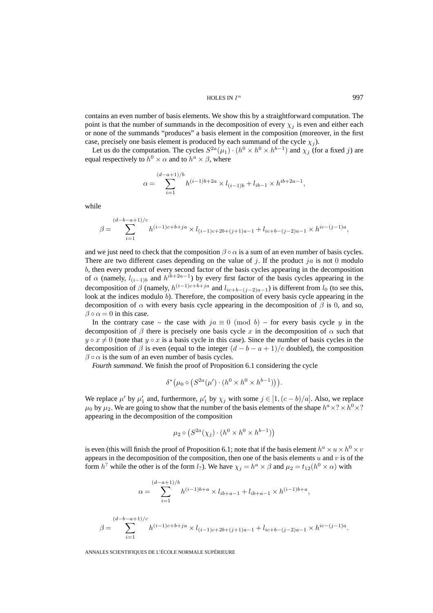HOLES IN  $I^n$  997

contains an even number of basis elements. We show this by a straightforward computation. The point is that the number of summands in the decomposition of every  $\chi_j$  is even and either each or none of the summands "produces" a basis element in the composition (moreover, in the first case, precisely one basis element is produced by each summand of the cycle  $\chi_i$ ).

Let us do the computation. The cycles  $S^{2a}(\mu_1) \cdot (h^0 \times h^0 \times h^{b-1})$  and  $\chi_i$  (for a fixed j) are equal respectively to  $h^0 \times \alpha$  and to  $h^a \times \beta$ , where

$$
\alpha = \sum_{i=1}^{(d-a+1)/b} h^{(i-1)b+2a} \times l_{(i-1)b} + l_{ib-1} \times h^{ib+2a-1},
$$

while

$$
\beta = \sum_{i=1}^{(d-b-a+1)/c} h^{(i-1)c+b+ja} \times l_{(i-1)c+2b+(j+1)a-1} + l_{ic+b-(j-2)a-1} \times h^{ic-(j-1)a},
$$

and we just need to check that the composition  $\beta \circ \alpha$  is a sum of an even number of basis cycles. There are two different cases depending on the value of j. If the product ja is not 0 modulo b, then every product of every second factor of the basis cycles appearing in the decomposition of  $\alpha$  (namely,  $l_{(i-1)b}$  and  $h^{ib+2a-1}$ ) by every first factor of the basis cycles appearing in the decomposition of  $\beta$  (namely,  $h^{(i-1)c+b+ja}$  and  $l_{ic+b-(i-2)a-1}$ ) is different from  $l_0$  (to see this, look at the indices modulo b). Therefore, the composition of every basis cycle appearing in the decomposition of  $\alpha$  with every basis cycle appearing in the decomposition of  $\beta$  is 0, and so,  $\beta \circ \alpha = 0$  in this case.

In the contrary case – the case with  $ja \equiv 0 \pmod{b}$  – for every basis cycle y in the decomposition of  $\beta$  there is precisely one basis cycle x in the decomposition of  $\alpha$  such that  $y \circ x \neq 0$  (note that  $y \circ x$  is a basis cycle in this case). Since the number of basis cycles in the decomposition of  $\beta$  is even (equal to the integer  $(d - b - a + 1)/c$  doubled), the composition  $\beta \circ \alpha$  is the sum of an even number of basis cycles.

*Fourth summand*. We finish the proof of Proposition 6.1 considering the cycle

$$
\delta^*\big(\mu_0 \circ \big(S^{2a}(\mu') \cdot (h^0 \times h^0 \times h^{b-1})\big)\big).
$$

We replace  $\mu'$  by  $\mu'_1$  and, furthermore,  $\mu'_1$  by  $\chi_j$  with some  $j \in [1, (c - b)/a]$ . Also, we replace  $\mu_0$  by  $\mu_2$ . We are going to show that the number of the basis elements of the shape  $h^a \times ? \times h^0 \times ?$ appearing in the decomposition of the composition

$$
\mu_2 \circ \left( S^{2a}(\chi_j) \cdot (h^0 \times h^0 \times h^{b-1}) \right)
$$

is even (this will finish the proof of Proposition 6.1; note that if the basis element  $h^a \times u \times h^0 \times v$ appears in the decomposition of the composition, then one of the basis elements  $u$  and  $v$  is of the form  $h^?$  while the other is of the form  $l_?$ ). We have  $\chi_i = h^a \times \beta$  and  $\mu_2 = t_{12}(h^0 \times \alpha)$  with

$$
\alpha = \sum_{i=1}^{(d-a+1)/b} h^{(i-1)b+a} \times l_{ib+a-1} + l_{ib+a-1} \times h^{(i-1)b+a},
$$

$$
\beta = \sum_{i=1}^{(d-b-a+1)/c} h^{(i-1)c+b+ja} \times l_{(i-1)c+2b+(j+1)a-1} + l_{ic+b-(j-2)a-1} \times h^{ic-(j-1)a}.
$$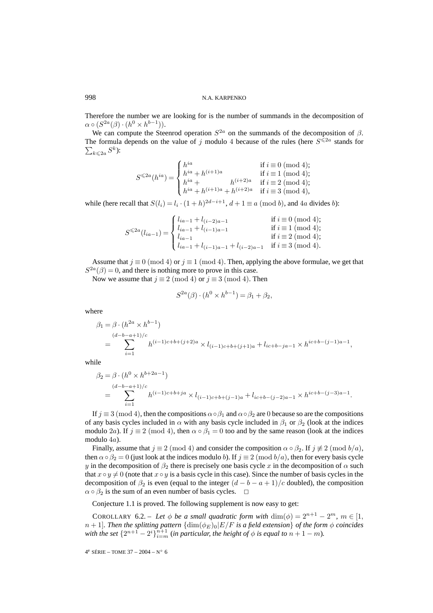Therefore the number we are looking for is the number of summands in the decomposition of  $\alpha \circ (S^{2a}(\beta) \cdot (h^0 \times h^{b-1})).$ 

We can compute the Steenrod operation  $S^{2a}$  on the summands of the decomposition of  $\beta$ . The formula depends on the value of j modulo 4 because of the rules (here  $S^{\leq 2a}$  stands for  $\sum_{k\leqslant 2a} S^k$ ):

$$
S^{\leq 2a}(h^{ia}) = \begin{cases} h^{ia} & \text{if } i \equiv 0 \pmod{4}; \\ h^{ia} + h^{(i+1)a} & \text{if } i \equiv 1 \pmod{4}; \\ h^{ia} + h^{(i+1)a} + h^{(i+2)a} & \text{if } i \equiv 2 \pmod{4}; \\ h^{ia} + h^{(i+1)a} + h^{(i+2)a} & \text{if } i \equiv 3 \pmod{4}, \end{cases}
$$

while (here recall that  $S(l_i) = l_i \cdot (1 + h)^{2d-i+1}$ ,  $d + 1 \equiv a \pmod{b}$ , and 4a divides b):

$$
S^{\leqslant 2a}(l_{ia-1}) = \begin{cases} l_{ia-1} + l_{(i-2)a-1} & \text{if } i \equiv 0 \pmod{4}; \\ l_{ia-1} + l_{(i-1)a-1} & \text{if } i \equiv 1 \pmod{4}; \\ l_{ia-1} & \text{if } i \equiv 2 \pmod{4}; \\ l_{ia-1} + l_{(i-1)a-1} + l_{(i-2)a-1} & \text{if } i \equiv 3 \pmod{4}. \end{cases}
$$

Assume that  $j \equiv 0 \pmod{4}$  or  $j \equiv 1 \pmod{4}$ . Then, applying the above formulae, we get that  $S^{2a}(\beta)=0$ , and there is nothing more to prove in this case.

Now we assume that  $j \equiv 2 \pmod{4}$  or  $j \equiv 3 \pmod{4}$ . Then

$$
S^{2a}(\beta) \cdot (h^0 \times h^{b-1}) = \beta_1 + \beta_2,
$$

where

$$
\beta_1 = \beta \cdot (h^{2a} \times h^{b-1})
$$
  
= 
$$
\sum_{i=1}^{(d-b-a+1)/c} h^{(i-1)c+b+(j+2)a} \times l_{(i-1)c+b+(j+1)a} + l_{ic+b-ja-1} \times h^{ic+b-(j-1)a-1},
$$

while

$$
\beta_2 = \beta \cdot (h^0 \times h^{b+2a-1})
$$
  
= 
$$
\sum_{i=1}^{(d-b-a+1)/c} h^{(i-1)c+b+ja} \times l_{(i-1)c+b+(j-1)a} + l_{ic+b-(j-2)a-1} \times h^{ic+b-(j-3)a-1}.
$$

If  $j \equiv 3 \pmod{4}$ , then the compositions  $\alpha \circ \beta_1$  and  $\alpha \circ \beta_2$  are 0 because so are the compositions of any basis cycles included in  $\alpha$  with any basis cycle included in  $\beta_1$  or  $\beta_2$  (look at the indices modulo 2a). If  $j \equiv 2 \pmod{4}$ , then  $\alpha \circ \beta_1 = 0$  too and by the same reason (look at the indices modulo 4a).

Finally, assume that  $j \equiv 2 \pmod{4}$  and consider the composition  $\alpha \circ \beta_2$ . If  $j \not\equiv 2 \pmod{b/a}$ , then  $\alpha \circ \beta_2 = 0$  (just look at the indices modulo b). If  $j \equiv 2 \pmod{b/a}$ , then for every basis cycle y in the decomposition of  $\beta_2$  there is precisely one basis cycle x in the decomposition of  $\alpha$  such that  $x \circ y \neq 0$  (note that  $x \circ y$  is a basis cycle in this case). Since the number of basis cycles in the decomposition of  $\beta_2$  is even (equal to the integer  $(d - b - a + 1)/c$  doubled), the composition  $\alpha \circ \beta_2$  is the sum of an even number of basis cycles.  $\Box$ 

Conjecture 1.1 is proved. The following supplement is now easy to get:

COROLLARY 6.2. – Let  $\phi$  be a small quadratic form with  $\dim(\phi)=2^{n+1}-2^m$ ,  $m \in [1,$  $n + 1$ *. Then the splitting pattern*  $\{dim(\phi_E)_0|E/F$  *is a field extension*} *of the form*  $\phi$  *coincides with the set*  $\{2^{n+1} - 2^i\}_{i=m}^{n+1}$  (*in particular, the height of*  $\phi$  *is equal to*  $n + 1 - m$ ).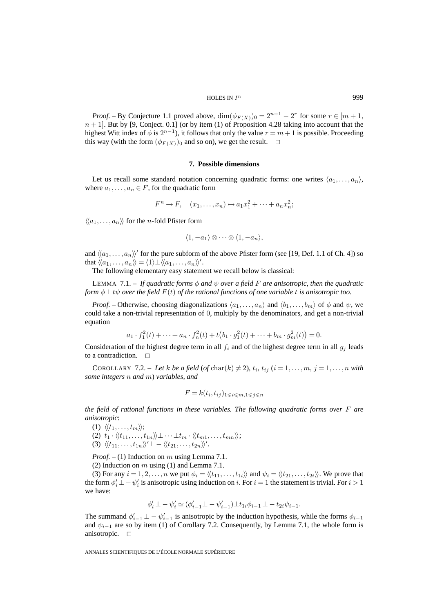*Proof.* – By Conjecture 1.1 proved above,  $\dim(\phi_{F(X)})_0 = 2^{n+1} - 2^r$  for some  $r \in [m+1,$  $n + 1$ . But by [9, Conject. 0.1] (or by item (1) of Proposition 4.28 taking into account that the highest Witt index of  $\phi$  is  $2^{n-1}$ ), it follows that only the value  $r = m + 1$  is possible. Proceeding this way (with the form  $(\phi_{F(X)})_0$  and so on), we get the result.  $\Box$ 

### **7. Possible dimensions**

Let us recall some standard notation concerning quadratic forms: one writes  $\langle a_1, \ldots, a_n \rangle$ , where  $a_1, \ldots, a_n \in F$ , for the quadratic form

$$
F^n \to F, \quad (x_1, \ldots, x_n) \mapsto a_1 x_1^2 + \cdots + a_n x_n^2;
$$

 $\langle\langle a_1,\ldots,a_n\rangle\rangle$  for the *n*-fold Pfister form

$$
\langle 1, -a_1 \rangle \otimes \cdots \otimes \langle 1, -a_n \rangle,
$$

and  $\langle\langle a_1,\ldots,a_n\rangle\rangle'$  for the pure subform of the above Pfister form (see [19, Def. 1.1 of Ch. 4]) so that  $\langle\!\langle a_1,\ldots,a_n\rangle\!\rangle = \langle 1\rangle \bot \langle\!\langle a_1,\ldots,a_n\rangle\!\rangle'.$ 

The following elementary easy statement we recall below is classical:

LEMMA 7.1. – If quadratic forms  $\phi$  and  $\psi$  over a field F are anisotropic, then the quadratic *form*  $\phi \perp t\psi$  *over the field*  $F(t)$  *of the rational functions of one variable* t *is anisotropic too.* 

*Proof.* – Otherwise, choosing diagonalizations  $\langle a_1, \ldots, a_n \rangle$  and  $\langle b_1, \ldots, b_m \rangle$  of  $\phi$  and  $\psi$ , we could take a non-trivial representation of 0, multiply by the denominators, and get a non-trivial equation

$$
a_1 \cdot f_1^2(t) + \dots + a_n \cdot f_n^2(t) + t(b_1 \cdot g_1^2(t) + \dots + b_m \cdot g_m^2(t)) = 0.
$$

Consideration of the highest degree term in all  $f_i$  and of the highest degree term in all  $g_j$  leads to a contradiction.  $\Box$ 

COROLLARY 7.2. – Let k be a field (of char(k)  $\neq$  2),  $t_i$ ,  $t_{ij}$  ( $i = 1, \ldots, m$ ,  $j = 1, \ldots, n$  with *some integers* n *and* m) *variables, and*

$$
F = k(t_i, t_{ij})_{1 \leqslant i \leqslant m, 1 \leqslant j \leqslant n}
$$

*the field of rational functions in these variables. The following quadratic forms over* F *are anisotropic*:

(1)  $\langle\langle t_1,\ldots,t_m\rangle\rangle;$ 

- (2)  $t_1 \cdot \langle\langle t_{11},\ldots,t_{1n}\rangle\rangle \perp \cdots \perp t_m \cdot \langle\langle t_{m1},\ldots,t_{mn}\rangle\rangle;$
- (3)  $\langle\langle t_{11},\ldots,t_{1n}\rangle\rangle' \perp \langle\langle t_{21},\ldots,t_{2n}\rangle\rangle'.$

*Proof. –* (1) Induction on m using Lemma 7.1.

(2) Induction on  $m$  using (1) and Lemma 7.1.

(3) For any  $i = 1, 2, \ldots, n$  we put  $\phi_i = \langle \langle t_{11}, \ldots, t_{1i} \rangle \rangle$  and  $\psi_i = \langle \langle t_{21}, \ldots, t_{2i} \rangle \rangle$ . We prove that the form  $\phi'_i \perp - \psi'_i$  is anisotropic using induction on i. For  $i = 1$  the statement is trivial. For  $i > 1$ we have:

$$
\phi'_{i} \perp - \psi'_{i} \simeq (\phi'_{i-1} \perp - \psi'_{i-1}) \perp t_{1i} \phi_{i-1} \perp - t_{2i} \psi_{i-1}.
$$

The summand  $\phi'_{i-1} \perp - \psi'_{i-1}$  is anisotropic by the induction hypothesis, while the forms  $\phi_{i-1}$ and  $\psi_{i-1}$  are so by item (1) of Corollary 7.2. Consequently, by Lemma 7.1, the whole form is anisotropic.  $\Box$ anisotropic. ✷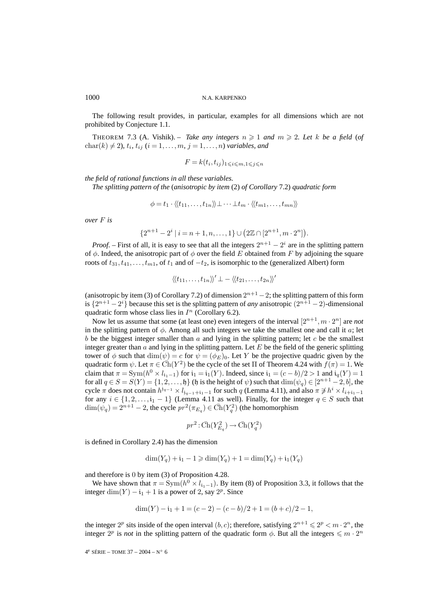The following result provides, in particular, examples for all dimensions which are not prohibited by Conjecture 1.1.

THEOREM 7.3 (A. Vishik). – *Take any integers*  $n \ge 1$  *and*  $m \ge 2$ . Let k be a field (of  $char(k) \neq 2$ *),*  $t_i$ ,  $t_{ij}$  ( $i = 1, ..., m$ ,  $j = 1, ..., n$ ) *variables, and* 

$$
F = k(t_i, t_{ij})_{1 \leqslant i \leqslant m, 1 \leqslant j \leqslant n}
$$

*the field of rational functions in all these variables.*

*The splitting pattern of the* (*anisotropic by item* (2) *of Corollary* 7.2) *quadratic form*

$$
\phi = t_1 \cdot \langle \langle t_{11}, \ldots, t_{1n} \rangle \rangle \bot \cdots \bot t_m \cdot \langle \langle t_{m1}, \ldots, t_{mn} \rangle \rangle
$$

*over* F *is*

$$
\{2^{n+1} - 2^i \mid i = n+1, n, \dots, 1\} \cup (2\mathbb{Z} \cap [2^{n+1}, m \cdot 2^n]).
$$

*Proof.* – First of all, it is easy to see that all the integers  $2^{n+1} - 2^i$  are in the splitting pattern of  $\phi$ . Indeed, the anisotropic part of  $\phi$  over the field E obtained from F by adjoining the square roots of  $t_{31}, t_{41}, \ldots, t_{m1}$ , of  $t_1$  and of  $-t_2$ , is isomorphic to the (generalized Albert) form

$$
\langle\langle t_{11},\ldots,t_{1n}\rangle\rangle' \perp - \langle\langle t_{21},\ldots,t_{2n}\rangle\rangle'
$$

(anisotropic by item (3) of Corollary 7.2) of dimension  $2^{n+1} - 2$ ; the splitting pattern of this form is  $\{2^{n+1}-2^i\}$  because this set is the splitting pattern of *any* anisotropic  $(2^{n+1}-2)$ -dimensional quadratic form whose class lies in  $I<sup>n</sup>$  (Corollary 6.2).

Now let us assume that some (at least one) even integers of the interval  $[2^{n+1},m\cdot 2^n]$  are *not* in the splitting pattern of  $\phi$ . Among all such integers we take the smallest one and call it a; let b be the biggest integer smaller than  $\alpha$  and lying in the splitting pattern; let  $\alpha$  be the smallest integer greater than  $\alpha$  and lying in the splitting pattern. Let E be the field of the generic splitting tower of  $\phi$  such that  $\dim(\psi) = c$  for  $\psi = (\phi_E)_0$ . Let Y be the projective quadric given by the quadratic form  $\psi$ . Let  $\pi \in \overline{Ch}(Y^2)$  be the cycle of the set  $\Pi$  of Theorem 4.24 with  $f(\pi)=1$ . We claim that  $\pi = \text{Sym}(h^0 \times l_{i_1-1})$  for  $i_1 = i_1(Y)$ . Indeed, since  $i_1 = (c - b)/2 > 1$  and  $i_q(Y) = 1$ for all  $q \in S = S(Y) = \{1, 2, \ldots, b\}$  (h is the height of  $\psi$ ) such that  $\dim(\psi_q) \in [2^{n+1}-2, b]$ , the cycle  $\pi$  does not contain  $h^{i_{q-1}} \times l_{i_{q-1}+i_1-1}$  for such q (Lemma 4.11), and also  $\pi \not\ni h^i \times l_{i+i_1-1}$ for any  $i \in \{1, 2, \ldots, i_1 - 1\}$  (Lemma 4.11 as well). Finally, for the integer  $q \in S$  such that  $\dim(\psi_q) = 2^{n+1} - 2$ , the cycle  $pr^2(\pi_{E_q}) \in \overline{Ch}(Y_q^2)$  (the homomorphism

$$
pr^2: \bar{\operatorname{Ch}}(Y^2_{E_q})\to \bar{\operatorname{Ch}}(Y^2_q)
$$

is defined in Corollary 2.4) has the dimension

$$
\dim(Y_q) + i_1 - 1 \ge \dim(Y_q) + 1 = \dim(Y_q) + i_1(Y_q)
$$

and therefore is 0 by item (3) of Proposition 4.28.

We have shown that  $\pi = \text{Sym}(h^0 \times l_{i_1-1})$ . By item (8) of Proposition 3.3, it follows that the integer dim(Y) –  $i_1 + 1$  is a power of 2, say  $2^p$ . Since

$$
\dim(Y) - i_1 + 1 = (c - 2) - (c - b)/2 + 1 = (b + c)/2 - 1,
$$

the integer  $2^p$  sits inside of the open interval  $(b, c)$ ; therefore, satisfying  $2^{n+1} \leq 2^p < m \cdot 2^n$ , the integer  $2^p$  is *not* in the splitting pattern of the quadratic form  $\phi$ . But all the integers  $\leq m \cdot 2^n$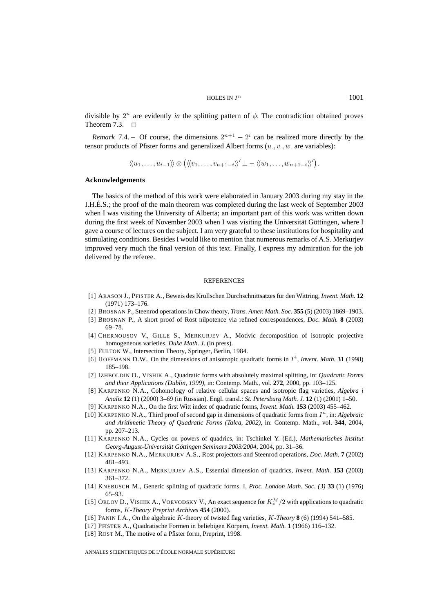divisible by  $2^n$  are evidently *in* the splitting pattern of  $\phi$ . The contradiction obtained proves Theorem 7.3.  $\Box$ 

*Remark* 7.4. – Of course, the dimensions  $2^{n+1} - 2^i$  can be realized more directly by the tensor products of Pfister forms and generalized Albert forms  $(u_{.,v_{.,w.}}$  are variables):

 $\langle \langle u_1,\ldots,u_{i-1}\rangle \rangle \otimes (\langle \langle v_1,\ldots,v_{n+1-i}\rangle)' \perp - \langle \langle w_1,\ldots,w_{n+1-i}\rangle \rangle').$ 

# **Acknowledgements**

The basics of the method of this work were elaborated in January 2003 during my stay in the I.H.É.S.; the proof of the main theorem was completed during the last week of September 2003 when I was visiting the University of Alberta; an important part of this work was written down during the first week of November 2003 when I was visiting the Universität Göttingen, where I gave a course of lectures on the subject. I am very grateful to these institutions for hospitality and stimulating conditions. Besides I would like to mention that numerous remarks of A.S. Merkurjev improved very much the final version of this text. Finally, I express my admiration for the job delivered by the referee.

#### **REFERENCES**

- [1] ARASON J., PFISTER A., Beweis des Krullschen Durchschnittsatzes für den Wittring, *Invent. Math.* **12** (1971) 173–176.
- [2] BROSNAN P., Steenrod operations in Chow theory, *Trans. Amer. Math. Soc.* **355** (5) (2003) 1869–1903.
- [3] BROSNAN P., A short proof of Rost nilpotence via refined correspondences, *Doc. Math.* **8** (2003) 69–78.
- [4] CHERNOUSOV V., GILLE S., MERKURJEV A., Motivic decomposition of isotropic projective homogeneous varieties, *Duke Math*. *J*. (in press).
- [5] FULTON W., Intersection Theory, Springer, Berlin, 1984.
- [6] HOFFMANN D.W., On the dimensions of anisotropic quadratic forms in  $I<sup>4</sup>$ , *Invent. Math.* **31** (1998) 185–198.
- [7] IZHBOLDIN O., VISHIK A., Quadratic forms with absolutely maximal splitting, in: *Quadratic Forms and their Applications (Dublin, 1999)*, in: Contemp. Math., vol. **272**, 2000, pp. 103–125.
- [8] KARPENKO N.A., Cohomology of relative cellular spaces and isotropic flag varieties, *Algebra i Analiz* **12** (1) (2000) 3–69 (in Russian). Engl. transl.: *St. Petersburg Math. J.* **12** (1) (2001) 1–50.
- [9] KARPENKO N.A., On the first Witt index of quadratic forms, *Invent. Math.* **153** (2003) 455–462.
- [10] KARPENKO N.A., Third proof of second gap in dimensions of quadratic forms from I<sup>n</sup>, in: *Algebraic and Arithmetic Theory of Quadratic Forms (Talca, 2002)*, in: Contemp. Math., vol. **344**, 2004, pp. 207–213.
- [11] KARPENKO N.A., Cycles on powers of quadrics, in: Tschinkel Y. (Ed.), *Mathematisches Institut Georg-August-Universität Göttingen Seminars 2003/2004*, 2004, pp. 31–36.
- [12] KARPENKO N.A., MERKURJEV A.S., Rost projectors and Steenrod operations, *Doc. Math.* **7** (2002) 481–493.
- [13] KARPENKO N.A., MERKURJEV A.S., Essential dimension of quadrics, *Invent. Math.* **153** (2003) 361–372.
- [14] KNEBUSCH M., Generic splitting of quadratic forms. I, *Proc. London Math. Soc. (3)* **33** (1) (1976) 65–93.
- [15] ORLOV D., VISHIK A., VOEVODSKY V., An exact sequence for  $K_*^M/2$  with applications to quadratic forms, K*-Theory Preprint Archives* **454** (2000).
- [16] PANIN I.A., On the algebraic K-theory of twisted flag varieties, K*-Theory* **8** (6) (1994) 541–585.
- [17] PFISTER A., Quadratische Formen in beliebigen Körpern, *Invent. Math.* **1** (1966) 116–132.
- [18] ROST M., The motive of a Pfister form, Preprint, 1998.